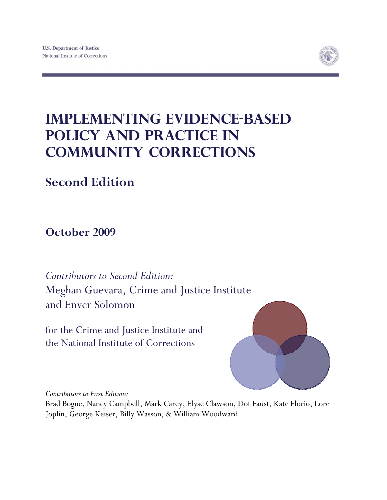

# **Implementing Evidence-Based Policy and Practice in Community Corrections**

## **Second Edition**

**October 2009** 

*Contributors to Second Edition:*  Meghan Guevara, Crime and Justice Institute and Enver Solomon

for the Crime and Justice Institute and the National Institute of Corrections



*Contributors to First Edition:* 

Brad Bogue, Nancy Campbell, Mark Carey, Elyse Clawson, Dot Faust, Kate Florio, Lore Joplin, George Keiser, Billy Wasson, & William Woodward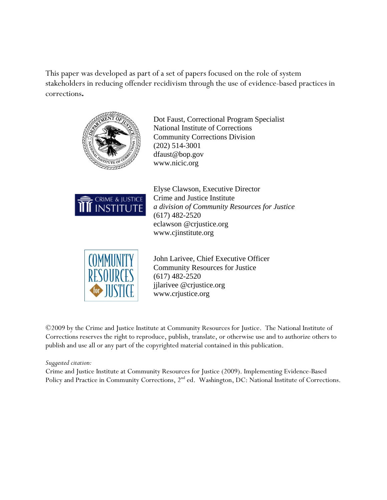This paper was developed as part of a set of papers focused on the role of system stakeholders in reducing offender recidivism through the use of evidence-based practices in corrections**.** 



Dot Faust, Correctional Program Specialist National Institute of Corrections Community Corrections Division (202) 514-3001 dfaust@bop.gov www.nicic.org



Elyse Clawson, Executive Director Crime and Justice Institute *a division of Community Resources for Justice*  (617) 482-2520 eclawson @crjustice.org www.cjinstitute.org



John Larivee, Chief Executive Officer Community Resources for Justice (617) 482-2520 jjlarivee @crjustice.org www.crjustice.org

©2009 by the Crime and Justice Institute at Community Resources for Justice. The National Institute of Corrections reserves the right to reproduce, publish, translate, or otherwise use and to authorize others to publish and use all or any part of the copyrighted material contained in this publication.

*Suggested citation:* 

Crime and Justice Institute at Community Resources for Justice (2009). Implementing Evidence-Based Policy and Practice in Community Corrections, 2<sup>nd</sup> ed. Washington, DC: National Institute of Corrections.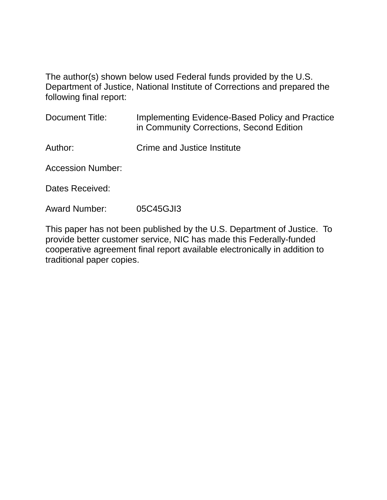The author(s) shown below used Federal funds provided by the U.S. Department of Justice, National Institute of Corrections and prepared the following final report:

| Document Title:          | Implementing Evidence-Based Policy and Practice<br>in Community Corrections, Second Edition |
|--------------------------|---------------------------------------------------------------------------------------------|
| Author:                  | Crime and Justice Institute                                                                 |
| <b>Accession Number:</b> |                                                                                             |
| Dates Received:          |                                                                                             |

Award Number: 05C45GJI3

This paper has not been published by the U.S. Department of Justice. To provide better customer service, NIC has made this Federally-funded cooperative agreement final report available electronically in addition to traditional paper copies.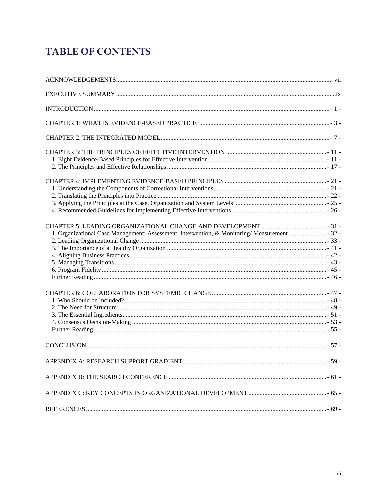## **TABLE OF CONTENTS**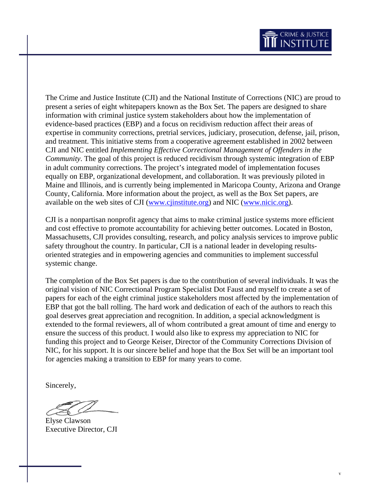The Crime and Justice Institute (CJI) and the National Institute of Corrections (NIC) are proud to present a series of eight whitepapers known as the Box Set. The papers are designed to share information with criminal justice system stakeholders about how the implementation of evidence-based practices (EBP) and a focus on recidivism reduction affect their areas of expertise in community corrections, pretrial services, judiciary, prosecution, defense, jail, prison, and treatment. This initiative stems from a cooperative agreement established in 2002 between CJI and NIC entitled *Implementing Effective Correctional Management of Offenders in the Community*. The goal of this project is reduced recidivism through systemic integration of EBP in adult community corrections. The project's integrated model of implementation focuses equally on EBP, organizational development, and collaboration. It was previously piloted in Maine and Illinois, and is currently being implemented in Maricopa County, Arizona and Orange County, California. More information about the project, as well as the Box Set papers, are available on the web sites of CJI [\(www.cjinstitute.org](http://www.cjinstitute.org/)) and NIC [\(www.nicic.org\)](http://www.nicic.org/).

CJI is a nonpartisan nonprofit agency that aims to make criminal justice systems more efficient and cost effective to promote accountability for achieving better outcomes. Located in Boston, Massachusetts, CJI provides consulting, research, and policy analysis services to improve public safety throughout the country. In particular, CJI is a national leader in developing resultsoriented strategies and in empowering agencies and communities to implement successful systemic change.

The completion of the Box Set papers is due to the contribution of several individuals. It was the original vision of NIC Correctional Program Specialist Dot Faust and myself to create a set of papers for each of the eight criminal justice stakeholders most affected by the implementation of EBP that got the ball rolling. The hard work and dedication of each of the authors to reach this goal deserves great appreciation and recognition. In addition, a special acknowledgment is extended to the formal reviewers, all of whom contributed a great amount of time and energy to ensure the success of this product. I would also like to express my appreciation to NIC for funding this project and to George Keiser, Director of the Community Corrections Division of NIC, for his support. It is our sincere belief and hope that the Box Set will be an important tool for agencies making a transition to EBP for many years to come.

Sincerely,

Elyse Clawson Executive Director, CJI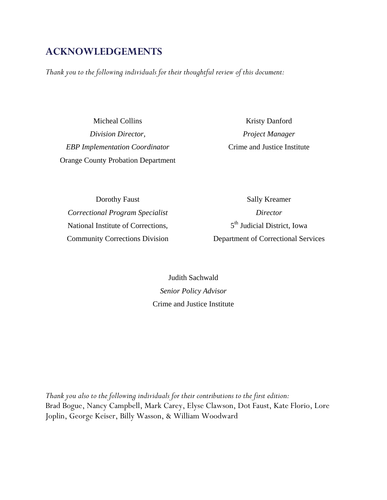## <span id="page-8-0"></span>**ACKNOWLEDGEMENTS**

*Thank you to the following individuals for their thoughtful review of this document:* 

Micheal Collins *Division Director, EBP Implementation Coordinator*  Orange County Probation Department

Kristy Danford *Project Manager*  Crime and Justice Institute

Dorothy Faust *Correctional Program Specialist*  National Institute of Corrections, Community Corrections Division

Sally Kreamer *Director*  5<sup>th</sup> Judicial District, Iowa Department of Correctional Services

Judith Sachwald *Senior Policy Advisor*  Crime and Justice Institute

*Thank you also to the following individuals for their contributions to the first edition:* Brad Bogue, Nancy Campbell, Mark Carey, Elyse Clawson, Dot Faust, Kate Florio, Lore Joplin, George Keiser, Billy Wasson, & William Woodward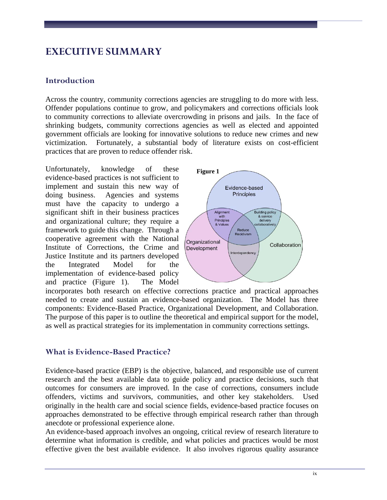## <span id="page-10-0"></span>**EXECUTIVE SUMMARY**

#### **Introduction**

Across the country, community corrections agencies are struggling to do more with less. Offender populations continue to grow, and policymakers and corrections officials look to community corrections to alleviate overcrowding in prisons and jails. In the face of shrinking budgets, community corrections agencies as well as elected and appointed government officials are looking for innovative solutions to reduce new crimes and new victimization. Fortunately, a substantial body of literature exists on cost-efficient practices that are proven to reduce offender risk.

Unfortunately, knowledge of these evidence-based practices is not sufficient to implement and sustain this new way of doing business. Agencies and systems must have the capacity to undergo a significant shift in their business practices and organizational culture; they require a framework to guide this change. Through a cooperative agreement with the National Institute of Corrections, the Crime and Justice Institute and its partners developed the Integrated Model for the implementation of evidence-based policy and practice (Figure 1). The Model



incorporates both research on effective corrections practice and practical approaches needed to create and sustain an evidence-based organization. The Model has three components: Evidence-Based Practice, Organizational Development, and Collaboration. The purpose of this paper is to outline the theoretical and empirical support for the model, as well as practical strategies for its implementation in community corrections settings.

#### **What is Evidence-Based Practice?**

Evidence-based practice (EBP) is the objective, balanced, and responsible use of current research and the best available data to guide policy and practice decisions, such that outcomes for consumers are improved. In the case of corrections, consumers include offenders, victims and survivors, communities, and other key stakeholders. Used originally in the health care and social science fields, evidence-based practice focuses on approaches demonstrated to be effective through empirical research rather than through anecdote or professional experience alone.

An evidence-based approach involves an ongoing, critical review of research literature to determine what information is credible, and what policies and practices would be most effective given the best available evidence. It also involves rigorous quality assurance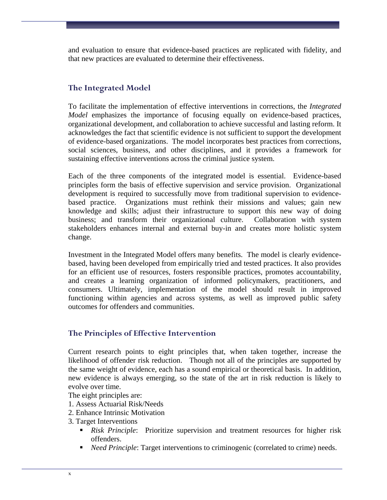and evaluation to ensure that evidence-based practices are replicated with fidelity, and that new practices are evaluated to determine their effectiveness.

#### **The Integrated Model**

To facilitate the implementation of effective interventions in corrections, the *Integrated Model* emphasizes the importance of focusing equally on evidence-based practices, organizational development, and collaboration to achieve successful and lasting reform. It acknowledges the fact that scientific evidence is not sufficient to support the development of evidence-based organizations. The model incorporates best practices from corrections, social sciences, business, and other disciplines, and it provides a framework for sustaining effective interventions across the criminal justice system.

Each of the three components of the integrated model is essential. Evidence-based principles form the basis of effective supervision and service provision. Organizational development is required to successfully move from traditional supervision to evidencebased practice. Organizations must rethink their missions and values; gain new knowledge and skills; adjust their infrastructure to support this new way of doing business; and transform their organizational culture. Collaboration with system stakeholders enhances internal and external buy-in and creates more holistic system change.

Investment in the Integrated Model offers many benefits. The model is clearly evidencebased, having been developed from empirically tried and tested practices. It also provides for an efficient use of resources, fosters responsible practices, promotes accountability, and creates a learning organization of informed policymakers, practitioners, and consumers. Ultimately, implementation of the model should result in improved functioning within agencies and across systems, as well as improved public safety outcomes for offenders and communities.

#### **The Principles of Effective Intervention**

Current research points to eight principles that, when taken together, increase the likelihood of offender risk reduction. Though not all of the principles are supported by the same weight of evidence, each has a sound empirical or theoretical basis. In addition, new evidence is always emerging, so the state of the art in risk reduction is likely to evolve over time.

The eight principles are:

- 1. Assess Actuarial Risk/Needs
- 2. Enhance Intrinsic Motivation
- 3. Target Interventions
	- *Risk Principle*: Prioritize supervision and treatment resources for higher risk offenders.
	- *Need Principle*: Target interventions to criminogenic (correlated to crime) needs.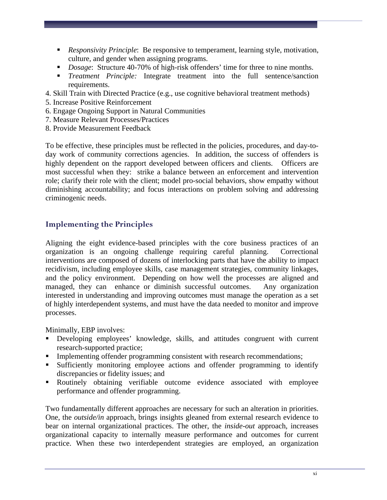- *Responsivity Principle*: Be responsive to temperament, learning style, motivation, culture, and gender when assigning programs.
- **Dosage:** Structure 40-70% of high-risk offenders' time for three to nine months.
- *Treatment Principle:* Integrate treatment into the full sentence/sanction requirements.
- 4. Skill Train with Directed Practice (e.g., use cognitive behavioral treatment methods)
- 5. Increase Positive Reinforcement
- 6. Engage Ongoing Support in Natural Communities
- 7. Measure Relevant Processes/Practices
- 8. Provide Measurement Feedback

To be effective, these principles must be reflected in the policies, procedures, and day-today work of community corrections agencies. In addition, the success of offenders is highly dependent on the rapport developed between officers and clients. Officers are most successful when they: strike a balance between an enforcement and intervention role; clarify their role with the client; model pro-social behaviors, show empathy without diminishing accountability; and focus interactions on problem solving and addressing criminogenic needs.

#### **Implementing the Principles**

Aligning the eight evidence-based principles with the core business practices of an organization is an ongoing challenge requiring careful planning. Correctional interventions are composed of dozens of interlocking parts that have the ability to impact recidivism, including employee skills, case management strategies, community linkages, and the policy environment. Depending on how well the processes are aligned and managed, they can enhance or diminish successful outcomes. Any organization interested in understanding and improving outcomes must manage the operation as a set of highly interdependent systems, and must have the data needed to monitor and improve processes.

Minimally, EBP involves:

- Developing employees' knowledge, skills, and attitudes congruent with current research-supported practice;
- Implementing offender programming consistent with research recommendations;
- Sufficiently monitoring employee actions and offender programming to identify discrepancies or fidelity issues; and
- Routinely obtaining verifiable outcome evidence associated with employee performance and offender programming.

Two fundamentally different approaches are necessary for such an alteration in priorities. One, the *outside/in* approach, brings insights gleaned from external research evidence to bear on internal organizational practices. The other, the *inside-out* approach, increases organizational capacity to internally measure performance and outcomes for current practice. When these two interdependent strategies are employed, an organization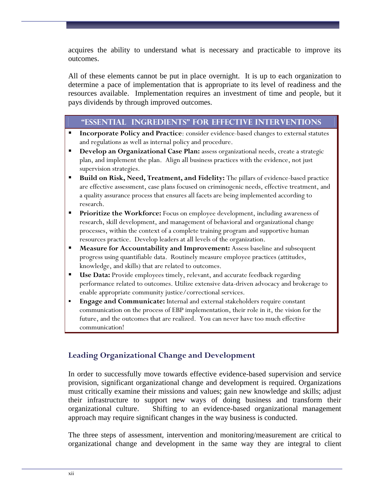acquires the ability to understand what is necessary and practicable to improve its outcomes.

All of these elements cannot be put in place overnight. It is up to each organization to determine a pace of implementation that is appropriate to its level of readiness and the resources available. Implementation requires an investment of time and people, but it pays dividends by through improved outcomes.

#### **"Essential Ingredients" for Effective Interventions**

- **Incorporate Policy and Practice**: consider evidence-based changes to external statutes and regulations as well as internal policy and procedure.
- **Develop an Organizational Case Plan:** assess organizational needs, create a strategic plan, and implement the plan. Align all business practices with the evidence, not just supervision strategies.
- **Build on Risk, Need, Treatment, and Fidelity:** The pillars of evidence-based practice are effective assessment, case plans focused on criminogenic needs, effective treatment, and a quality assurance process that ensures all facets are being implemented according to research.
- **Prioritize the Workforce:** Focus on employee development, including awareness of research, skill development, and management of behavioral and organizational change processes, within the context of a complete training program and supportive human resources practice. Develop leaders at all levels of the organization.
- **Measure for Accountability and Improvement:** Assess baseline and subsequent progress using quantifiable data. Routinely measure employee practices (attitudes, knowledge, and skills) that are related to outcomes.
- **Use Data:** Provide employees timely, relevant, and accurate feedback regarding performance related to outcomes. Utilize extensive data-driven advocacy and brokerage to enable appropriate community justice/correctional services.
- **Engage and Communicate:** Internal and external stakeholders require constant communication on the process of EBP implementation, their role in it, the vision for the future, and the outcomes that are realized. You can never have too much effective communication!

## **Leading Organizational Change and Development**

In order to successfully move towards effective evidence-based supervision and service provision, significant organizational change and development is required. Organizations must critically examine their missions and values; gain new knowledge and skills; adjust their infrastructure to support new ways of doing business and transform their organizational culture. Shifting to an evidence-based organizational management approach may require significant changes in the way business is conducted.

The three steps of assessment, intervention and monitoring/measurement are critical to organizational change and development in the same way they are integral to client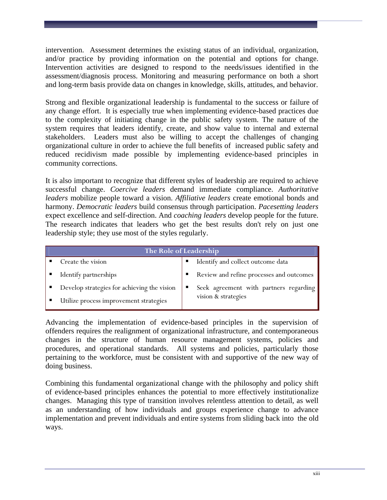intervention. Assessment determines the existing status of an individual, organization, and/or practice by providing information on the potential and options for change. Intervention activities are designed to respond to the needs/issues identified in the assessment/diagnosis process. Monitoring and measuring performance on both a short and long-term basis provide data on changes in knowledge, skills, attitudes, and behavior.

Strong and flexible organizational leadership is fundamental to the success or failure of any change effort. It is especially true when implementing evidence-based practices due to the complexity of initiating change in the public safety system. The nature of the system requires that leaders identify, create, and show value to internal and external stakeholders. Leaders must also be willing to accept the challenges of changing organizational culture in order to achieve the full benefits of increased public safety and reduced recidivism made possible by implementing evidence-based principles in community corrections.

It is also important to recognize that different styles of leadership are required to achieve successful change. *Coercive leaders* demand immediate compliance. *Authoritative leaders* mobilize people toward a vision. *Affiliative leaders* create emotional bonds and harmony. *Democratic leaders* build consensus through participation. *Pacesetting leaders* expect excellence and self-direction. And *coaching leaders* develop people for the future. The research indicates that leaders who get the best results don't rely on just one leadership style; they use most of the styles regularly.

| The Role of Leadership                      |                                             |  |  |
|---------------------------------------------|---------------------------------------------|--|--|
| Create the vision                           | Identify and collect outcome data           |  |  |
| Identify partnerships                       | Review and refine processes and outcomes    |  |  |
| Develop strategies for achieving the vision | Seek agreement with partners regarding<br>п |  |  |
| Utilize process improvement strategies      | vision & strategies                         |  |  |

Advancing the implementation of evidence-based principles in the supervision of offenders requires the realignment of organizational infrastructure, and contemporaneous changes in the structure of human resource management systems, policies and procedures, and operational standards. All systems and policies, particularly those pertaining to the workforce, must be consistent with and supportive of the new way of doing business.

Combining this fundamental organizational change with the philosophy and policy shift of evidence-based principles enhances the potential to more effectively institutionalize changes. Managing this type of transition involves relentless attention to detail, as well as an understanding of how individuals and groups experience change to advance implementation and prevent individuals and entire systems from sliding back into the old ways.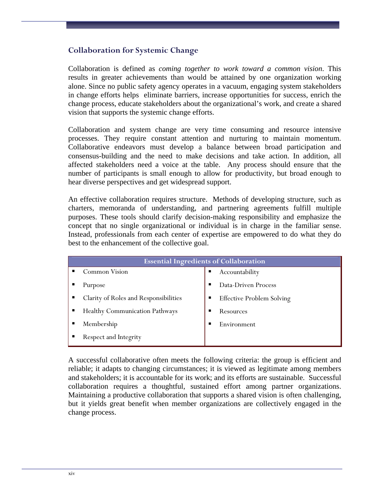#### **Collaboration for Systemic Change**

Collaboration is defined as *coming together to work toward a common vision*. This results in greater achievements than would be attained by one organization working alone. Since no public safety agency operates in a vacuum, engaging system stakeholders in change efforts helps eliminate barriers, increase opportunities for success, enrich the change process, educate stakeholders about the organizational's work, and create a shared vision that supports the systemic change efforts.

Collaboration and system change are very time consuming and resource intensive processes. They require constant attention and nurturing to maintain momentum. Collaborative endeavors must develop a balance between broad participation and consensus-building and the need to make decisions and take action. In addition, all affected stakeholders need a voice at the table. Any process should ensure that the number of participants is small enough to allow for productivity, but broad enough to hear diverse perspectives and get widespread support.

An effective collaboration requires structure. Methods of developing structure, such as charters, memoranda of understanding, and partnering agreements fulfill multiple purposes. These tools should clarify decision-making responsibility and emphasize the concept that no single organizational or individual is in charge in the familiar sense. Instead, professionals from each center of expertise are empowered to do what they do best to the enhancement of the collective goal.

| <b>Essential Ingredients of Collaboration</b> |                                  |  |  |
|-----------------------------------------------|----------------------------------|--|--|
| Common Vision<br>п                            | Accountability<br>п              |  |  |
| Purpose                                       | Data-Driven Process              |  |  |
| Clarity of Roles and Responsibilities<br>п    | <b>Effective Problem Solving</b> |  |  |
| <b>Healthy Communication Pathways</b><br>п    | Resources<br>п                   |  |  |
| Membership                                    | Environment<br>п                 |  |  |
| Respect and Integrity<br>п                    |                                  |  |  |

A successful collaborative often meets the following criteria: the group is efficient and reliable; it adapts to changing circumstances; it is viewed as legitimate among members and stakeholders; it is accountable for its work; and its efforts are sustainable. Successful collaboration requires a thoughtful, sustained effort among partner organizations. Maintaining a productive collaboration that supports a shared vision is often challenging, but it yields great benefit when member organizations are collectively engaged in the change process.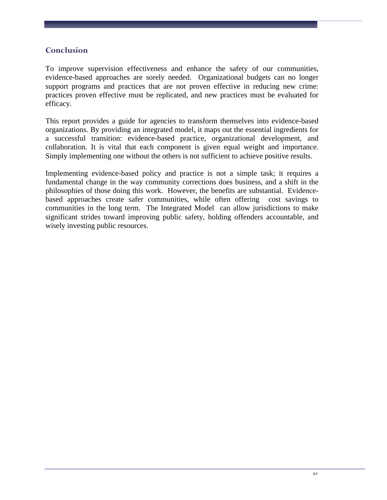#### **Conclusion**

To improve supervision effectiveness and enhance the safety of our communities, evidence-based approaches are sorely needed. Organizational budgets can no longer support programs and practices that are not proven effective in reducing new crime: practices proven effective must be replicated, and new practices must be evaluated for efficacy.

This report provides a guide for agencies to transform themselves into evidence-based organizations. By providing an integrated model, it maps out the essential ingredients for a successful transition: evidence-based practice, organizational development, and collaboration. It is vital that each component is given equal weight and importance. Simply implementing one without the others is not sufficient to achieve positive results.

Implementing evidence-based policy and practice is not a simple task; it requires a fundamental change in the way community corrections does business, and a shift in the philosophies of those doing this work. However, the benefits are substantial. Evidencebased approaches create safer communities, while often offering cost savings to communities in the long term. The Integrated Model can allow jurisdictions to make significant strides toward improving public safety, holding offenders accountable, and wisely investing public resources.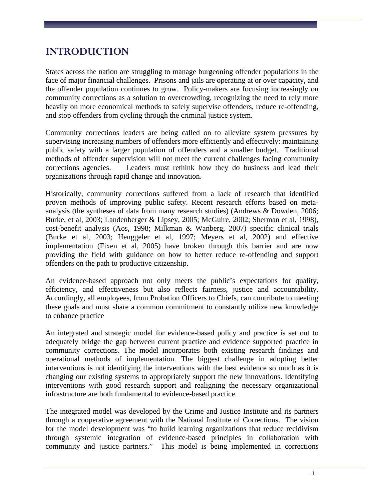## <span id="page-18-0"></span>**INTRODUCTION**

States across the nation are struggling to manage burgeoning offender populations in the face of major financial challenges. Prisons and jails are operating at or over capacity, and the offender population continues to grow. Policy-makers are focusing increasingly on community corrections as a solution to overcrowding, recognizing the need to rely more heavily on more economical methods to safely supervise offenders, reduce re-offending, and stop offenders from cycling through the criminal justice system.

Community corrections leaders are being called on to alleviate system pressures by supervising increasing numbers of offenders more efficiently and effectively: maintaining public safety with a larger population of offenders and a smaller budget. Traditional methods of offender supervision will not meet the current challenges facing community corrections agencies. Leaders must rethink how they do business and lead their organizations through rapid change and innovation.

Historically, community corrections suffered from a lack of research that identified proven methods of improving public safety. Recent research efforts based on metaanalysis (the syntheses of data from many research studies) (Andrews & Dowden, 2006; Burke, et al, 2003; Landenberger & Lipsey, 2005; McGuire, 2002; Sherman et al, 1998), cost-benefit analysis (Aos, 1998; Milkman & Wanberg, 2007) specific clinical trials (Burke et al, 2003; Henggeler et al, 1997; Meyers et al, 2002) and effective implementation (Fixen et al, 2005) have broken through this barrier and are now providing the field with guidance on how to better reduce re-offending and support offenders on the path to productive citizenship.

An evidence-based approach not only meets the public's expectations for quality, efficiency, and effectiveness but also reflects fairness, justice and accountability. Accordingly, all employees, from Probation Officers to Chiefs, can contribute to meeting these goals and must share a common commitment to constantly utilize new knowledge to enhance practice

An integrated and strategic model for evidence-based policy and practice is set out to adequately bridge the gap between current practice and evidence supported practice in community corrections. The model incorporates both existing research findings and operational methods of implementation. The biggest challenge in adopting better interventions is not identifying the interventions with the best evidence so much as it is changing our existing systems to appropriately support the new innovations. Identifying interventions with good research support and realigning the necessary organizational infrastructure are both fundamental to evidence-based practice.

The integrated model was developed by the Crime and Justice Institute and its partners through a cooperative agreement with the National Institute of Corrections. The vision for the model development was "to build learning organizations that reduce recidivism through systemic integration of evidence-based principles in collaboration with community and justice partners." This model is being implemented in corrections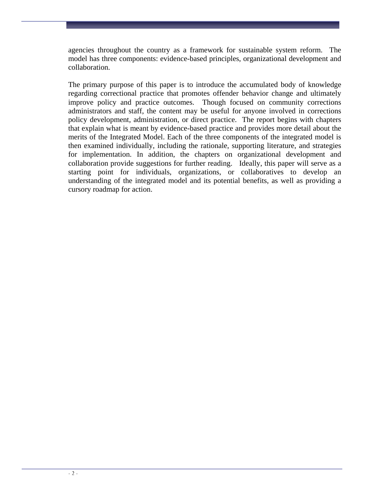agencies throughout the country as a framework for sustainable system reform. The model has three components: evidence-based principles, organizational development and collaboration.

The primary purpose of this paper is to introduce the accumulated body of knowledge regarding correctional practice that promotes offender behavior change and ultimately improve policy and practice outcomes. Though focused on community corrections administrators and staff, the content may be useful for anyone involved in corrections policy development, administration, or direct practice. The report begins with chapters that explain what is meant by evidence-based practice and provides more detail about the merits of the Integrated Model. Each of the three components of the integrated model is then examined individually, including the rationale, supporting literature, and strategies for implementation. In addition, the chapters on organizational development and collaboration provide suggestions for further reading. Ideally, this paper will serve as a starting point for individuals, organizations, or collaboratives to develop an understanding of the integrated model and its potential benefits, as well as providing a cursory roadmap for action.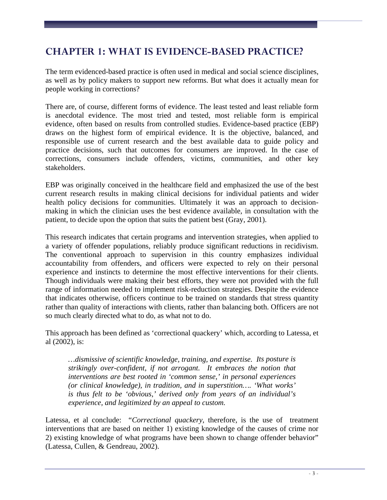## <span id="page-20-0"></span>**CHAPTER 1: WHAT IS EVIDENCE-BASED PRACTICE?**

The term evidenced-based practice is often used in medical and social science disciplines, as well as by policy makers to support new reforms. But what does it actually mean for people working in corrections?

There are, of course, different forms of evidence. The least tested and least reliable form is anecdotal evidence. The most tried and tested, most reliable form is empirical evidence, often based on results from controlled studies. Evidence-based practice (EBP) draws on the highest form of empirical evidence. It is the objective, balanced, and responsible use of current research and the best available data to guide policy and practice decisions, such that outcomes for consumers are improved. In the case of corrections, consumers include offenders, victims, communities, and other key stakeholders.

EBP was originally conceived in the healthcare field and emphasized the use of the best current research results in making clinical decisions for individual patients and wider health policy decisions for communities. Ultimately it was an approach to decisionmaking in which the clinician uses the best evidence available, in consultation with the patient, to decide upon the option that suits the patient best (Gray, 2001).

This research indicates that certain programs and intervention strategies, when applied to a variety of offender populations, reliably produce significant reductions in recidivism. The conventional approach to supervision in this country emphasizes individual accountability from offenders, and officers were expected to rely on their personal experience and instincts to determine the most effective interventions for their clients. Though individuals were making their best efforts, they were not provided with the full range of information needed to implement risk-reduction strategies. Despite the evidence that indicates otherwise, officers continue to be trained on standards that stress quantity rather than quality of interactions with clients, rather than balancing both. Officers are not so much clearly directed what to do, as what not to do.

This approach has been defined as 'correctional quackery' which, according to Latessa, et al (2002), is:

*…dismissive of scientific knowledge, training, and expertise. Its posture is strikingly over-confident, if not arrogant. It embraces the notion that interventions are best rooted in 'common sense,' in personal experiences (or clinical knowledge), in tradition, and in superstition…. 'What works' is thus felt to be 'obvious,' derived only from years of an individual's experience, and legitimized by an appeal to custom.* 

Latessa, et al conclude: "*Correctional quackery*, therefore, is the use of treatment interventions that are based on neither 1) existing knowledge of the causes of crime nor 2) existing knowledge of what programs have been shown to change offender behavior" (Latessa, Cullen, & Gendreau, 2002).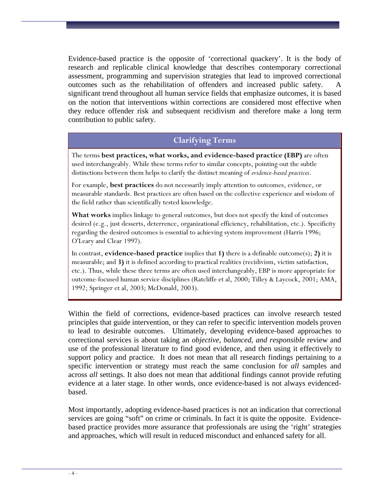Evidence-based practice is the opposite of 'correctional quackery'. It is the body of research and replicable clinical knowledge that describes contemporary correctional assessment, programming and supervision strategies that lead to improved correctional outcomes such as the rehabilitation of offenders and increased public safety. A significant trend throughout all human service fields that emphasize outcomes, it is based on the notion that interventions within corrections are considered most effective when they reduce offender risk and subsequent recidivism and therefore make a long term contribution to public safety.

#### **Clarifying Terms**

The terms **best practices, what works, and evidence-based practice (EBP)** are often used interchangeably. While these terms refer to similar concepts, pointing out the subtle distinctions between them helps to clarify the distinct meaning of *evidence-based practices*.

For example, **best practices** do not necessarily imply attention to outcomes, evidence, or measurable standards. Best practices are often based on the collective experience and wisdom of the field rather than scientifically tested knowledge.

**What works** implies linkage to general outcomes, but does not specify the kind of outcomes desired (e.g., just desserts, deterrence, organizational efficiency, rehabilitation, etc.). Specificity regarding the desired outcomes is essential to achieving system improvement (Harris 1996; O'Leary and Clear 1997).

In contrast, **evidence-based practice** implies that **1)** there is a definable outcome(s); **2)** it is measurable; and **3)** it is defined according to practical realities (recidivism, victim satisfaction, etc.). Thus, while these three terms are often used interchangeably, EBP is more appropriate for outcome-focused human service disciplines (Ratcliffe et al, 2000; Tilley & Laycock, 2001; AMA, 1992; Springer et al, 2003; McDonald, 2003).

Within the field of corrections, evidence-based practices can involve research tested principles that guide intervention, or they can refer to specific intervention models proven to lead to desirable outcomes. Ultimately, developing evidence-based approaches to correctional services is about taking an *objective, balanced, and responsible* review and use of the professional literature to find good evidence, and then using it effectively to support policy and practice. It does not mean that all research findings pertaining to a specific intervention or strategy must reach the same conclusion for *all* samples and across *all* settings. It also does not mean that additional findings cannot provide refuting evidence at a later stage. In other words, once evidence-based is not always evidencedbased.

Most importantly, adopting evidence-based practices is not an indication that correctional services are going "soft" on crime or criminals. In fact it is quite the opposite. Evidencebased practice provides more assurance that professionals are using the 'right' strategies and approaches, which will result in reduced misconduct and enhanced safety for all.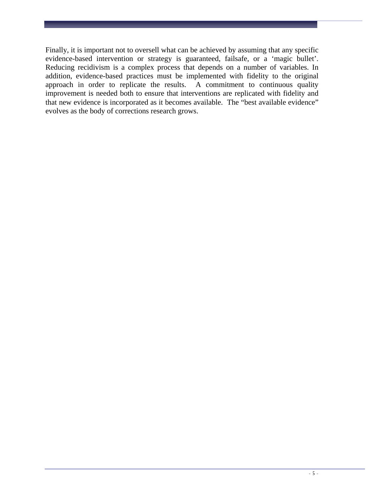Finally, it is important not to oversell what can be achieved by assuming that any specific evidence-based intervention or strategy is guaranteed, failsafe, or a 'magic bullet'. Reducing recidivism is a complex process that depends on a number of variables. In addition, evidence-based practices must be implemented with fidelity to the original approach in order to replicate the results. A commitment to continuous quality improvement is needed both to ensure that interventions are replicated with fidelity and that new evidence is incorporated as it becomes available. The "best available evidence" evolves as the body of corrections research grows.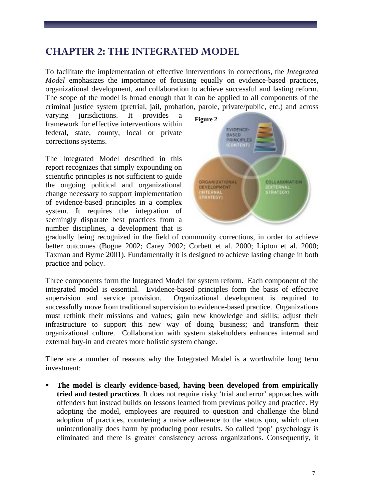## <span id="page-24-0"></span>**CHAPTER 2: THE INTEGRATED MODEL**

To facilitate the implementation of effective interventions in corrections, the *Integrated Model* emphasizes the importance of focusing equally on evidence-based practices, organizational development, and collaboration to achieve successful and lasting reform. The scope of the model is broad enough that it can be applied to all components of the criminal justice system (pretrial, jail, probation, parole, private/public, etc.) and across

varying jurisdictions. It provides a framework for effective interventions within federal, state, county, local or private corrections systems.

The Integrated Model described in this report recognizes that simply expounding on scientific principles is not sufficient to guide the ongoing political and organizational change necessary to support implementation of evidence-based principles in a complex system. It requires the integration of seemingly disparate best practices from a number disciplines, a development that is



gradually being recognized in the field of community corrections, in order to achieve better outcomes (Bogue 2002; Carey 2002; Corbett et al. 2000; Lipton et al. 2000; Taxman and Byrne 2001). Fundamentally it is designed to achieve lasting change in both practice and policy.

Three components form the Integrated Model for system reform. Each component of the integrated model is essential. Evidence-based principles form the basis of effective supervision and service provision. Organizational development is required to successfully move from traditional supervision to evidence-based practice. Organizations must rethink their missions and values; gain new knowledge and skills; adjust their infrastructure to support this new way of doing business; and transform their organizational culture. Collaboration with system stakeholders enhances internal and external buy-in and creates more holistic system change.

There are a number of reasons why the Integrated Model is a worthwhile long term investment:

 **The model is clearly evidence-based, having been developed from empirically tried and tested practices**. It does not require risky 'trial and error' approaches with offenders but instead builds on lessons learned from previous policy and practice. By adopting the model, employees are required to question and challenge the blind adoption of practices, countering a naïve adherence to the status quo, which often unintentionally does harm by producing poor results. So called 'pop' psychology is eliminated and there is greater consistency across organizations. Consequently, it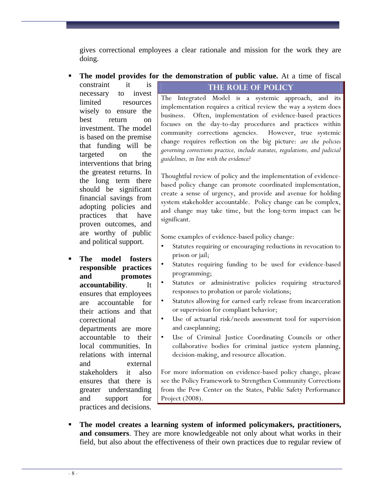gives correctional employees a clear rationale and mission for the work they are doing.

**The model provides for the demonstration of public value.** At a time of fiscal

constraint it is necessary to invest limited resources wisely to ensure the best return on investment. The model is based on the premise that funding will be targeted on the interventions that bring the greatest returns. In the long term there should be significant financial savings from adopting policies and practices that have proven outcomes, and are worthy of public and political support.

 **The model fosters responsible practices and promotes accountability**. It ensures that employees are accountable for their actions and that correctional departments are more accountable to their local communities. In relations with internal and external stakeholders it also ensures that there is greater understanding and support for practices and decisions.

### **The Role of Policy**

The Integrated Model is a systemic approach, and its implementation requires a critical review the way a system does business. Often, implementation of evidence-based practices focuses on the day-to-day procedures and practices within community corrections agencies. However, true systemic change requires reflection on the big picture: *are the policies governing corrections practice, include statutes, regulations, and judicial guidelines, in line with the evidence?* 

Thoughtful review of policy and the implementation of evidencebased policy change can promote coordinated implementation, create a sense of urgency, and provide and avenue for holding system stakeholder accountable. Policy change can be complex, and change may take time, but the long-term impact can be significant.

Some examples of evidence-based policy change:

- Statutes requiring or encouraging reductions in revocation to prison or jail;
- Statutes requiring funding to be used for evidence-based programming;
- Statutes or administrative policies requiring structured responses to probation or parole violations;
- Statutes allowing for earned early release from incarceration or supervision for compliant behavior;
- Use of actuarial risk/needs assessment tool for supervision and caseplanning;
- Use of Criminal Justice Coordinating Councils or other collaborative bodies for criminal justice system planning, decision-making, and resource allocation.

For more information on evidence-based policy change, please see the Policy Framework to Strengthen Community Corrections from the Pew Center on the States, Public Safety Performance Project (2008).

 **The model creates a learning system of informed policymakers, practitioners, and consumers**. They are more knowledgeable not only about what works in their field, but also about the effectiveness of their own practices due to regular review of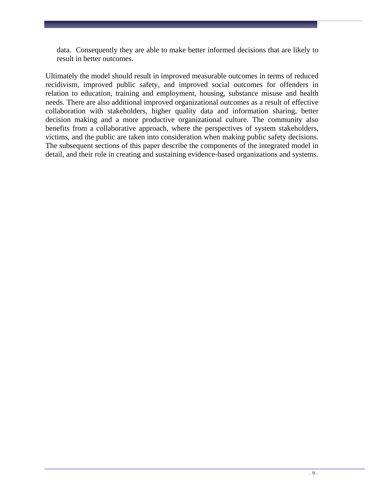data. Consequently they are able to make better informed decisions that are likely to result in better outcomes.

Ultimately the model should result in improved measurable outcomes in terms of reduced recidivism, improved public safety, and improved social outcomes for offenders in relation to education, training and employment, housing, substance misuse and health needs. There are also additional improved organizational outcomes as a result of effective collaboration with stakeholders, higher quality data and information sharing, better decision making and a more productive organizational culture. The community also benefits from a collaborative approach, where the perspectives of system stakeholders, victims, and the public are taken into consideration when making public safety decisions. The subsequent sections of this paper describe the components of the integrated model in detail, and their role in creating and sustaining evidence-based organizations and systems.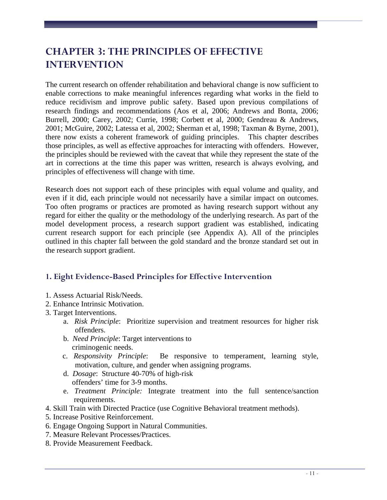## <span id="page-28-0"></span>**CHAPTER 3: THE PRINCIPLES OF EFFECTIVE INTERVENTION**

The current research on offender rehabilitation and behavioral change is now sufficient to enable corrections to make meaningful inferences regarding what works in the field to reduce recidivism and improve public safety. Based upon previous compilations of research findings and recommendations (Aos et al, 2006; Andrews and Bonta, 2006; Burrell, 2000; Carey, 2002; Currie, 1998; Corbett et al, 2000; Gendreau & Andrews, 2001; McGuire, 2002; Latessa et al, 2002; Sherman et al, 1998; Taxman & Byrne, 2001), there now exists a coherent framework of guiding principles. This chapter describes those principles, as well as effective approaches for interacting with offenders. However, the principles should be reviewed with the caveat that while they represent the state of the art in corrections at the time this paper was written, research is always evolving, and principles of effectiveness will change with time.

Research does not support each of these principles with equal volume and quality, and even if it did, each principle would not necessarily have a similar impact on outcomes. Too often programs or practices are promoted as having research support without any regard for either the quality or the methodology of the underlying research. As part of the model development process, a research support gradient was established, indicating current research support for each principle (see Appendix A). All of the principles outlined in this chapter fall between the gold standard and the bronze standard set out in the research support gradient.

## <span id="page-28-1"></span>**1. Eight Evidence-Based Principles for Effective Intervention**

- 1. Assess Actuarial Risk/Needs.
- 2. Enhance Intrinsic Motivation.
- 3. Target Interventions.
	- a. *Risk Principle*: Prioritize supervision and treatment resources for higher risk offenders.
	- b. *Need Principle*: Target interventions to criminogenic needs.
	- c. *Responsivity Principle*: Be responsive to temperament, learning style, motivation, culture, and gender when assigning programs.
	- d. *Dosage*: Structure 40-70% of high-risk offenders' time for 3-9 months.
	- e. *Treatment Principle:* Integrate treatment into the full sentence/sanction requirements.
- 4. Skill Train with Directed Practice (use Cognitive Behavioral treatment methods).
- 5. Increase Positive Reinforcement.
- 6. Engage Ongoing Support in Natural Communities.
- 7. Measure Relevant Processes/Practices.
- 8. Provide Measurement Feedback.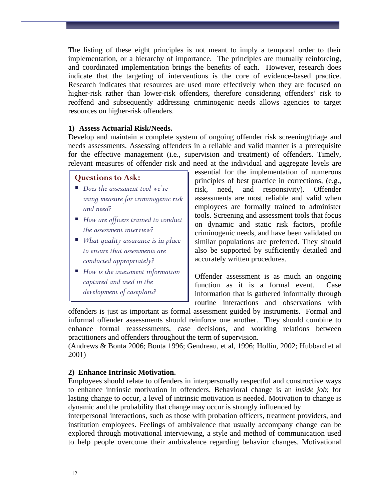The listing of these eight principles is not meant to imply a temporal order to their implementation, or a hierarchy of importance. The principles are mutually reinforcing, and coordinated implementation brings the benefits of each. However, research does indicate that the targeting of interventions is the core of evidence-based practice. Research indicates that resources are used more effectively when they are focused on higher-risk rather than lower-risk offenders, therefore considering offenders' risk to reoffend and subsequently addressing criminogenic needs allows agencies to target resources on higher-risk offenders.

#### **1) Assess Actuarial Risk/Needs.**

Develop and maintain a complete system of ongoing offender risk screening/triage and needs assessments. Assessing offenders in a reliable and valid manner is a prerequisite for the effective management (i.e., supervision and treatment) of offenders. Timely, relevant measures of offender risk and need at the individual and aggregate levels are

#### **Questions to Ask:**

- *Does the assessment tool we're using measure for criminogenic risk and need?*
- *How are officers trained to conduct the assessment interview?*
- *What quality assurance is in place to ensure that assessments are conducted appropriately?*
- *How is the assessment information captured and used in the development of caseplans?*

essential for the implementation of numerous principles of best practice in corrections, (e.g., risk, need, and responsivity). Offender assessments are most reliable and valid when employees are formally trained to administer tools. Screening and assessment tools that focus on dynamic and static risk factors, profile criminogenic needs, and have been validated on similar populations are preferred. They should also be supported by sufficiently detailed and accurately written procedures.

Offender assessment is as much an ongoing function as it is a formal event. Case information that is gathered informally through routine interactions and observations with

offenders is just as important as formal assessment guided by instruments. Formal and informal offender assessments should reinforce one another. They should combine to enhance formal reassessments, case decisions, and working relations between practitioners and offenders throughout the term of supervision.

(Andrews & Bonta 2006; Bonta 1996; Gendreau, et al, 1996; Hollin, 2002; Hubbard et al 2001)

#### **2) Enhance Intrinsic Motivation.**

Employees should relate to offenders in interpersonally respectful and constructive ways to enhance intrinsic motivation in offenders. Behavioral change is an *inside job*; for lasting change to occur, a level of intrinsic motivation is needed. Motivation to change is dynamic and the probability that change may occur is strongly influenced by

interpersonal interactions, such as those with probation officers, treatment providers, and institution employees. Feelings of ambivalence that usually accompany change can be explored through motivational interviewing, a style and method of communication used to help people overcome their ambivalence regarding behavior changes. Motivational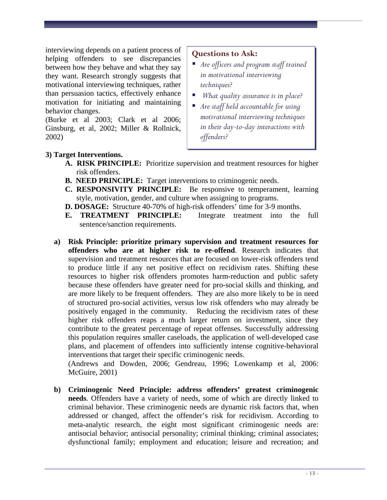interviewing depends on a patient process of helping offenders to see discrepancies between how they behave and what they say they want. Research strongly suggests that motivational interviewing techniques, rather than persuasion tactics, effectively enhance motivation for initiating and maintaining behavior changes.

(Burke et al 2003; Clark et al 2006; Ginsburg, et al, 2002; Miller & Rollnick, 2002)

#### **Questions to Ask:**

- *Are officers and program staff trained in motivational interviewing techniques?*
- *What quality assurance is in place?*
- *Are staff held accountable for using motivational interviewing techniques in their day-to-day interactions with offenders?*

#### **3) Target Interventions.**

- **A. RISK PRINCIPLE:** Prioritize supervision and treatment resources for higher risk offenders.
- **B. NEED PRINCIPLE:** Target interventions to criminogenic needs.
- **C. RESPONSIVITY PRINCIPLE:** Be responsive to temperament, learning style, motivation, gender, and culture when assigning to programs.
- **D. DOSAGE:** Structure 40-70% of high-risk offenders' time for 3-9 months.
- **E. TREATMENT PRINCIPLE:** Integrate treatment into the full sentence/sanction requirements.
- **a) Risk Principle: prioritize primary supervision and treatment resources for offenders who are at higher risk to re-offend**. Research indicates that supervision and treatment resources that are focused on lower-risk offenders tend to produce little if any net positive effect on recidivism rates. Shifting these resources to higher risk offenders promotes harm-reduction and public safety because these offenders have greater need for pro-social skills and thinking, and are more likely to be frequent offenders. They are also more likely to be in need of structured pro-social activities, versus low risk offenders who may already be positively engaged in the community. Reducing the recidivism rates of these higher risk offenders reaps a much larger return on investment, since they contribute to the greatest percentage of repeat offenses. Successfully addressing this population requires smaller caseloads, the application of well-developed case plans, and placement of offenders into sufficiently intense cognitive-behavioral interventions that target their specific criminogenic needs.

(Andrews and Dowden, 2006; Gendreau, 1996; Lowenkamp et al, 2006: McGuire, 2001)

**b) Criminogenic Need Principle: address offenders' greatest criminogenic needs**. Offenders have a variety of needs, some of which are directly linked to criminal behavior. These criminogenic needs are dynamic risk factors that, when addressed or changed, affect the offender's risk for recidivism. According to meta-analytic research, the eight most significant criminogenic needs are: antisocial behavior; antisocial personality; criminal thinking; criminal associates; dysfunctional family; employment and education; leisure and recreation; and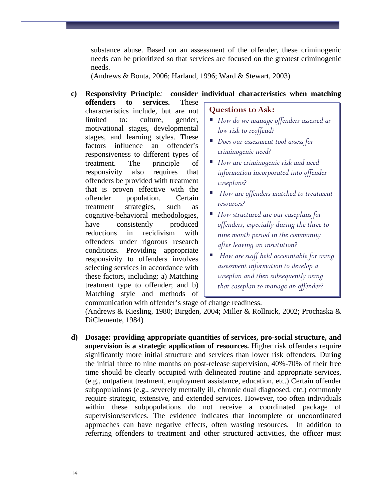substance abuse. Based on an assessment of the offender, these criminogenic needs can be prioritized so that services are focused on the greatest criminogenic needs.

(Andrews & Bonta, 2006; Harland, 1996; Ward & Stewart, 2003)

## **c) Responsivity Principle***:* **consider individual characteristics when matching**

**offenders to services.** These characteristics include, but are not limited to: culture, gender, motivational stages, developmental stages, and learning styles. These factors influence an offender's responsiveness to different types of treatment. The principle of responsivity also requires that offenders be provided with treatment that is proven effective with the offender population. Certain treatment strategies, such as cognitive-behavioral methodologies, have consistently produced reductions in recidivism with offenders under rigorous research conditions. Providing appropriate responsivity to offenders involves selecting services in accordance with these factors, including: a) Matching treatment type to offender; and b) Matching style and methods of

#### **Questions to Ask:**

- *How do we manage offenders assessed as low risk to reoffend?*
- *Does our assessment tool assess for criminogenic need?*
- *How are criminogenic risk and need information incorporated into offender caseplans?*
- *How are offenders matched to treatment resources?*
- *How structured are our caseplans for offenders, especially during the three to nine month period in the community after leaving an institution?*
- *How are staff held accountable for using assessment information to develop a caseplan and then subsequently using that caseplan to manage an offender?*

communication with offender's stage of change readiness.

(Andrews & Kiesling, 1980; Birgden, 2004; Miller & Rollnick, 2002; Prochaska & DiClemente, 1984)

**d) Dosage: providing appropriate quantities of services, pro-social structure, and supervision is a strategic application of resources.** Higher risk offenders require significantly more initial structure and services than lower risk offenders. During the initial three to nine months on post-release supervision, 40%-70% of their free time should be clearly occupied with delineated routine and appropriate services, (e.g., outpatient treatment, employment assistance, education, etc.) Certain offender subpopulations (e.g., severely mentally ill, chronic dual diagnosed, etc.) commonly require strategic, extensive, and extended services. However, too often individuals within these subpopulations do not receive a coordinated package of supervision/services. The evidence indicates that incomplete or uncoordinated approaches can have negative effects, often wasting resources. In addition to referring offenders to treatment and other structured activities, the officer must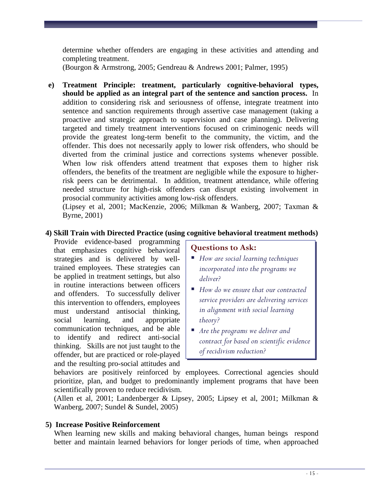determine whether offenders are engaging in these activities and attending and completing treatment.

(Bourgon & Armstrong, 2005; Gendreau & Andrews 2001; Palmer, 1995)

**e) Treatment Principle: treatment, particularly cognitive-behavioral types, should be applied as an integral part of the sentence and sanction process.**In addition to considering risk and seriousness of offense, integrate treatment into sentence and sanction requirements through assertive case management (taking a proactive and strategic approach to supervision and case planning). Delivering targeted and timely treatment interventions focused on criminogenic needs will provide the greatest long-term benefit to the community, the victim, and the offender. This does not necessarily apply to lower risk offenders, who should be diverted from the criminal justice and corrections systems whenever possible. When low risk offenders attend treatment that exposes them to higher risk offenders, the benefits of the treatment are negligible while the exposure to higherrisk peers can be detrimental. In addition, treatment attendance, while offering needed structure for high-risk offenders can disrupt existing involvement in prosocial community activities among low-risk offenders.

(Lipsey et al, 2001; MacKenzie, 2006; Milkman & Wanberg, 2007; Taxman & Byrne, 2001)

#### **4) Skill Train with Directed Practice (using cognitive behavioral treatment methods)**

Provide evidence-based programming that emphasizes cognitive behavioral strategies and is delivered by welltrained employees. These strategies can be applied in treatment settings, but also in routine interactions between officers and offenders. To successfully deliver this intervention to offenders, employees must understand antisocial thinking, social learning, and appropriate communication techniques, and be able to identify and redirect anti-social thinking. Skills are not just taught to the offender, but are practiced or role-played and the resulting pro-social attitudes and

#### **Questions to Ask:**

- *How are social learning techniques incorporated into the programs we deliver?*
- *How do we ensure that our contracted service providers are delivering services in alignment with social learning theory?*
- *Are the programs we deliver and contract for based on scientific evidence of recidivism reduction?*

behaviors are positively reinforced by employees. Correctional agencies should prioritize, plan, and budget to predominantly implement programs that have been scientifically proven to reduce recidivism.

(Allen et al, 2001; Landenberger & Lipsey, 2005; Lipsey et al, 2001; Milkman & Wanberg, 2007; Sundel & Sundel, 2005)

#### **5) Increase Positive Reinforcement**

When learning new skills and making behavioral changes, human beings respond better and maintain learned behaviors for longer periods of time, when approached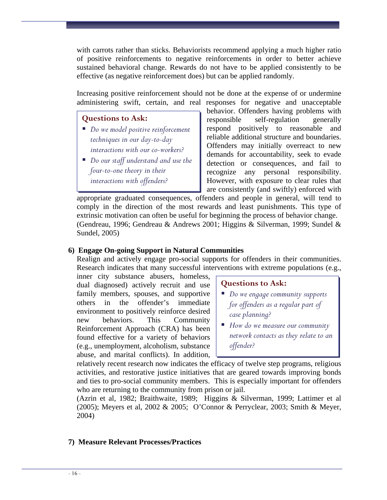with carrots rather than sticks. Behaviorists recommend applying a much higher ratio of positive reinforcements to negative reinforcements in order to better achieve sustained behavioral change. Rewards do not have to be applied consistently to be effective (as negative reinforcement does) but can be applied randomly.

Increasing positive reinforcement should not be done at the expense of or undermine administering swift, certain, and real responses for negative and unacceptable

#### **Questions to Ask:**

- *Do we model positive reinforcement techniques in our day-to-day interactions with our co-workers?*
- *Do our staff understand and use the four-to-one theory in their interactions with offenders?*

behavior. Offenders having problems with responsible self-regulation generally respond positively to reasonable and reliable additional structure and boundaries. Offenders may initially overreact to new demands for accountability, seek to evade detection or consequences, and fail to recognize any personal responsibility. However, with exposure to clear rules that are consistently (and swiftly) enforced with

appropriate graduated consequences, offenders and people in general, will tend to comply in the direction of the most rewards and least punishments. This type of extrinsic motivation can often be useful for beginning the process of behavior change. (Gendreau, 1996; Gendreau & Andrews 2001; Higgins & Silverman, 1999; Sundel & Sundel, 2005)

#### **6) Engage On-going Support in Natural Communities**

Realign and actively engage pro-social supports for offenders in their communities. Research indicates that many successful interventions with extreme populations (e.g.,

inner city substance abusers, homeless, dual diagnosed) actively recruit and use family members, spouses, and supportive others in the offender's immediate environment to positively reinforce desired new behaviors. This Community Reinforcement Approach (CRA) has been found effective for a variety of behaviors (e.g., unemployment, alcoholism, substance abuse, and marital conflicts). In addition,

#### **Questions to Ask:**

- *Do we engage community supports for offenders as a regular part of case planning?*
- *How do we measure our community network contacts as they relate to an offender?*

relatively recent research now indicates the efficacy of twelve step programs, religious activities, and restorative justice initiatives that are geared towards improving bonds and ties to pro-social community members. This is especially important for offenders who are returning to the community from prison or jail.

(Azrin et al, 1982; Braithwaite, 1989; Higgins & Silverman, 1999; Lattimer et al (2005); Meyers et al, 2002 & 2005; O'Connor & Perryclear, 2003; Smith & Meyer, 2004)

#### **7) Measure Relevant Processes/Practices**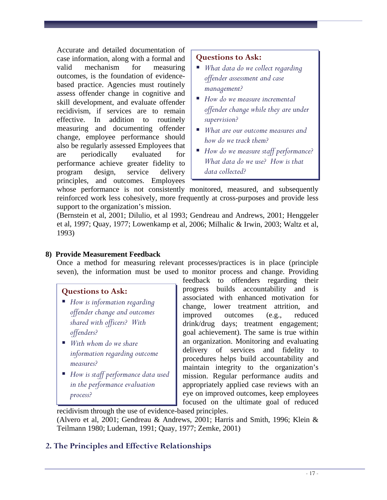Accurate and detailed documentation of case information, along with a formal and valid mechanism for measuring outcomes, is the foundation of evidencebased practice. Agencies must routinely assess offender change in cognitive and skill development, and evaluate offender recidivism, if services are to remain effective. In addition to routinely measuring and documenting offender change, employee performance should also be regularly assessed Employees that are periodically evaluated for performance achieve greater fidelity to program design, service delivery principles, and outcomes. Employees

## **Questions to Ask:**

- *What data do we collect regarding offender assessment and case management?*
- *How do we measure incremental offender change while they are under supervision?*
- *What are our outcome measures and how do we track them?*
- *How do we measure staff performance? What data do we use? How is that data collected?*

whose performance is not consistently monitored, measured, and subsequently reinforced work less cohesively, more frequently at cross-purposes and provide less support to the organization's mission.

(Bernstein et al, 2001; Dilulio, et al 1993; Gendreau and Andrews, 2001; Henggeler et al, 1997; Quay, 1977; Lowenkamp et al, 2006; Milhalic & Irwin, 2003; Waltz et al, 1993)

#### **8) Provide Measurement Feedback**

Once a method for measuring relevant processes/practices is in place (principle seven), the information must be used to monitor process and change. Providing

#### **Questions to Ask:**

- *How is information regarding offender change and outcomes shared with officers? With offenders?*
- *With whom do we share information regarding outcome measures?*
- *How is staff performance data used in the performance evaluation process?*

feedback to offenders regarding their progress builds accountability and is associated with enhanced motivation for change, lower treatment attrition, and improved outcomes (e.g., reduced drink/drug days; treatment engagement; goal achievement). The same is true within an organization. Monitoring and evaluating delivery of services and fidelity to procedures helps build accountability and maintain integrity to the organization's mission. Regular performance audits and appropriately applied case reviews with an eye on improved outcomes, keep employees focused on the ultimate goal of reduced

recidivism through the use of evidence-based principles. (Alvero et al, 2001; Gendreau & Andrews, 2001; Harris and Smith, 1996; Klein & Teilmann 1980; Ludeman, 1991; Quay, 1977; Zemke, 2001)

## <span id="page-34-0"></span>**2. The Principles and Effective Relationships**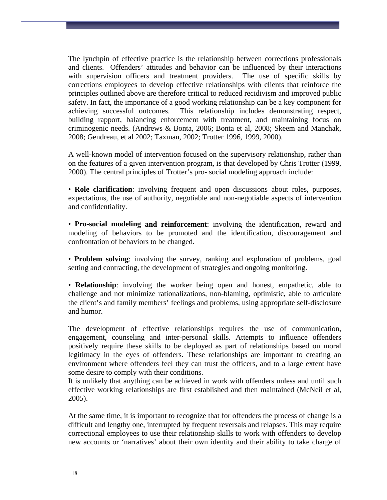The lynchpin of effective practice is the relationship between corrections professionals and clients. Offenders' attitudes and behavior can be influenced by their interactions with supervision officers and treatment providers. The use of specific skills by corrections employees to develop effective relationships with clients that reinforce the principles outlined above are therefore critical to reduced recidivism and improved public safety. In fact, the importance of a good working relationship can be a key component for achieving successful outcomes. This relationship includes demonstrating respect, building rapport, balancing enforcement with treatment, and maintaining focus on criminogenic needs. (Andrews & Bonta, 2006; Bonta et al, 2008; Skeem and Manchak, 2008; Gendreau, et al 2002; Taxman, 2002; Trotter 1996, 1999, 2000).

A well-known model of intervention focused on the supervisory relationship, rather than on the features of a given intervention program, is that developed by Chris Trotter (1999, 2000). The central principles of Trotter's pro- social modeling approach include:

• **Role clarification**: involving frequent and open discussions about roles, purposes, expectations, the use of authority, negotiable and non-negotiable aspects of intervention and confidentiality.

• **Pro-social modeling and reinforcement**: involving the identification, reward and modeling of behaviors to be promoted and the identification, discouragement and confrontation of behaviors to be changed.

• **Problem solving**: involving the survey, ranking and exploration of problems, goal setting and contracting, the development of strategies and ongoing monitoring.

• **Relationship**: involving the worker being open and honest, empathetic, able to challenge and not minimize rationalizations, non-blaming, optimistic, able to articulate the client's and family members' feelings and problems, using appropriate self-disclosure and humor.

The development of effective relationships requires the use of communication, engagement, counseling and inter-personal skills. Attempts to influence offenders positively require these skills to be deployed as part of relationships based on moral legitimacy in the eyes of offenders. These relationships are important to creating an environment where offenders feel they can trust the officers, and to a large extent have some desire to comply with their conditions.

It is unlikely that anything can be achieved in work with offenders unless and until such effective working relationships are first established and then maintained (McNeil et al, 2005).

At the same time, it is important to recognize that for offenders the process of change is a difficult and lengthy one, interrupted by frequent reversals and relapses. This may require correctional employees to use their relationship skills to work with offenders to develop new accounts or 'narratives' about their own identity and their ability to take charge of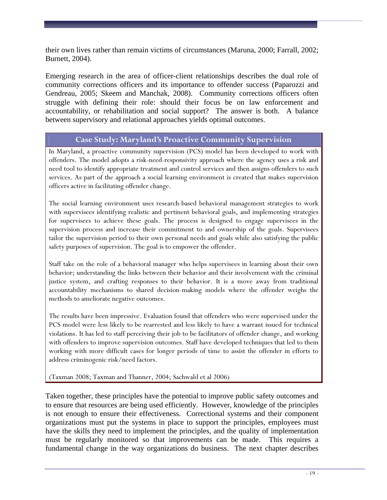their own lives rather than remain victims of circumstances (Maruna, 2000; Farrall, 2002; Burnett, 2004).

Emerging research in the area of officer-client relationships describes the dual role of community corrections officers and its importance to offender success (Paparozzi and Gendreau, 2005; Skeem and Manchak, 2008). Community corrections officers often struggle with defining their role: should their focus be on law enforcement and accountability, or rehabilitation and social support? The answer is both. A balance between supervisory and relational approaches yields optimal outcomes.

# **Case Study: Maryland's Proactive Community Supervision**

In Maryland, a proactive community supervision (PCS) model has been developed to work with offenders. The model adopts a risk-need-responsivity approach where the agency uses a risk and need tool to identify appropriate treatment and control services and then assigns offenders to such services. As part of the approach a social learning environment is created that makes supervision officers active in facilitating offender change.

The social learning environment uses research-based behavioral management strategies to work with supervisees identifying realistic and pertinent behavioral goals, and implementing strategies for supervisees to achieve these goals. The process is designed to engage supervisees in the supervision process and increase their commitment to and ownership of the goals. Supervisees tailor the supervision period to their own personal needs and goals while also satisfying the public safety purposes of supervision. The goal is to empower the offender.

Staff take on the role of a behavioral manager who helps supervisees in learning about their own behavior; understanding the links between their behavior and their involvement with the criminal justice system, and crafting responses to their behavior. It is a move away from traditional accountability mechanisms to shared decision-making models where the offender weighs the methods to ameliorate negative outcomes.

The results have been impressive. Evaluation found that offenders who were supervised under the PCS model were less likely to be rearrested and less likely to have a warrant issued for technical violations. It has led to staff perceiving their job to be facilitators of offender change, and working with offenders to improve supervision outcomes. Staff have developed techniques that led to them working with more difficult cases for longer periods of time to assist the offender in efforts to address criminogenic risk/need factors.

(Taxman 2008; Taxman and Thanner, 2004; Sachwald et al 2006)

Taken together, these principles have the potential to improve public safety outcomes and to ensure that resources are being used efficiently. However, knowledge of the principles is not enough to ensure their effectiveness. Correctional systems and their component organizations must put the systems in place to support the principles, employees must have the skills they need to implement the principles, and the quality of implementation must be regularly monitored so that improvements can be made. This requires a fundamental change in the way organizations do business. The next chapter describes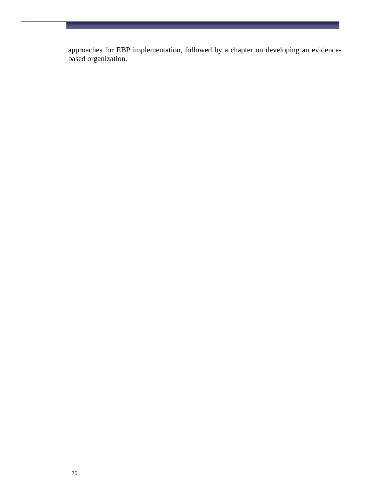approaches for EBP implementation, followed by a chapter on developing an evidencebased organization.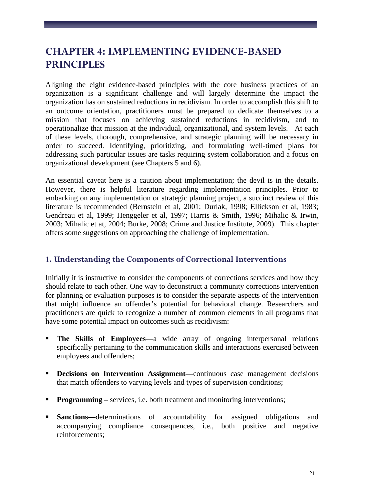# **CHAPTER 4: IMPLEMENTING EVIDENCE-BASED PRINCIPLES**

Aligning the eight evidence-based principles with the core business practices of an organization is a significant challenge and will largely determine the impact the organization has on sustained reductions in recidivism. In order to accomplish this shift to an outcome orientation, practitioners must be prepared to dedicate themselves to a mission that focuses on achieving sustained reductions in recidivism, and to operationalize that mission at the individual, organizational, and system levels. At each of these levels, thorough, comprehensive, and strategic planning will be necessary in order to succeed. Identifying, prioritizing, and formulating well-timed plans for addressing such particular issues are tasks requiring system collaboration and a focus on organizational development (see Chapters 5 and 6).

An essential caveat here is a caution about implementation; the devil is in the details. However, there is helpful literature regarding implementation principles. Prior to embarking on any implementation or strategic planning project, a succinct review of this literature is recommended (Bernstein et al, 2001; Durlak, 1998; Ellickson et al, 1983; Gendreau et al, 1999; Henggeler et al, 1997; Harris & Smith, 1996; Mihalic & Irwin, 2003; Mihalic et at, 2004; Burke, 2008; Crime and Justice Institute, 2009). This chapter offers some suggestions on approaching the challenge of implementation.

# **1. Understanding the Components of Correctional Interventions**

Initially it is instructive to consider the components of corrections services and how they should relate to each other. One way to deconstruct a community corrections intervention for planning or evaluation purposes is to consider the separate aspects of the intervention that might influence an offender's potential for behavioral change. Researchers and practitioners are quick to recognize a number of common elements in all programs that have some potential impact on outcomes such as recidivism:

- **The Skills of Employees—**a wide array of ongoing interpersonal relations specifically pertaining to the communication skills and interactions exercised between employees and offenders;
- **Decisions on Intervention Assignment—**continuous case management decisions that match offenders to varying levels and types of supervision conditions;
- **Programming** services, i.e. both treatment and monitoring interventions;
- **Sanctions—**determinations of accountability for assigned obligations and accompanying compliance consequences, i.e., both positive and negative reinforcements;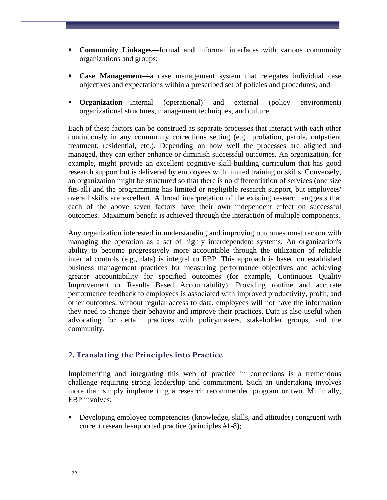- **Community Linkages—**formal and informal interfaces with various community organizations and groups;
- **Case Management—**a case management system that relegates individual case objectives and expectations within a prescribed set of policies and procedures; and
- **Creanization—internal** (operational) and external (policy environment) organizational structures, management techniques, and culture.

Each of these factors can be construed as separate processes that interact with each other continuously in any community corrections setting (e.g., probation, parole, outpatient treatment, residential, etc.). Depending on how well the processes are aligned and managed, they can either enhance or diminish successful outcomes. An organization, for example, might provide an excellent cognitive skill-building curriculum that has good research support but is delivered by employees with limited training or skills. Conversely, an organization might be structured so that there is no differentiation of services (one size fits all) and the programming has limited or negligible research support, but employees' overall skills are excellent. A broad interpretation of the existing research suggests that each of the above seven factors have their own independent effect on successful outcomes. Maximum benefit is achieved through the interaction of multiple components.

Any organization interested in understanding and improving outcomes must reckon with managing the operation as a set of highly interdependent systems. An organization's ability to become progressively more accountable through the utilization of reliable internal controls (e.g., data) is integral to EBP. This approach is based on established business management practices for measuring performance objectives and achieving greater accountability for specified outcomes (for example, Continuous Quality Improvement or Results Based Accountability). Providing routine and accurate performance feedback to employees is associated with improved productivity, profit, and other outcomes; without regular access to data, employees will not have the information they need to change their behavior and improve their practices. Data is also useful when advocating for certain practices with policymakers, stakeholder groups, and the community.

# **2. Translating the Principles into Practice**

Implementing and integrating this web of practice in corrections is a tremendous challenge requiring strong leadership and commitment. Such an undertaking involves more than simply implementing a research recommended program or two. Minimally, EBP involves:

 Developing employee competencies (knowledge, skills, and attitudes) congruent with current research-supported practice (principles #1-8);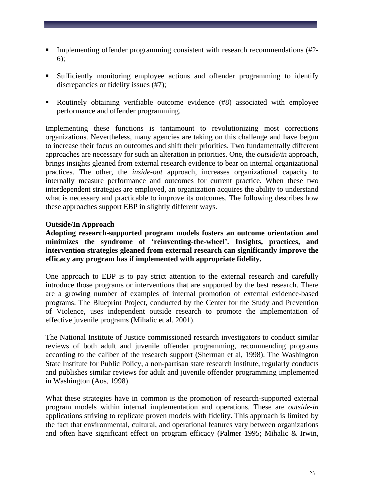- Implementing offender programming consistent with research recommendations (#2- 6);
- Sufficiently monitoring employee actions and offender programming to identify discrepancies or fidelity issues (#7);
- Routinely obtaining verifiable outcome evidence (#8) associated with employee performance and offender programming.

Implementing these functions is tantamount to revolutionizing most corrections organizations. Nevertheless, many agencies are taking on this challenge and have begun to increase their focus on outcomes and shift their priorities. Two fundamentally different approaches are necessary for such an alteration in priorities. One, the *outside/in* approach, brings insights gleaned from external research evidence to bear on internal organizational practices. The other, the *inside-out* approach, increases organizational capacity to internally measure performance and outcomes for current practice. When these two interdependent strategies are employed, an organization acquires the ability to understand what is necessary and practicable to improve its outcomes. The following describes how these approaches support EBP in slightly different ways.

# **Outside/In Approach**

**Adopting research-supported program models fosters an outcome orientation and minimizes the syndrome of 'reinventing-the-wheel'. Insights, practices, and intervention strategies gleaned from external research can significantly improve the efficacy any program has if implemented with appropriate fidelity.** 

One approach to EBP is to pay strict attention to the external research and carefully introduce those programs or interventions that are supported by the best research. There are a growing number of examples of internal promotion of external evidence-based programs. The Blueprint Project, conducted by the Center for the Study and Prevention of Violence, uses independent outside research to promote the implementation of effective juvenile programs (Mihalic et al. 2001).

The National Institute of Justice commissioned research investigators to conduct similar reviews of both adult and juvenile offender programming, recommending programs according to the caliber of the research support (Sherman et al, 1998). The Washington State Institute for Public Policy, a non-partisan state research institute, regularly conducts and publishes similar reviews for adult and juvenile offender programming implemented in Washington (Aos, 1998).

What these strategies have in common is the promotion of research-supported external program models within internal implementation and operations. These are *outside-in*  applications striving to replicate proven models with fidelity. This approach is limited by the fact that environmental, cultural, and operational features vary between organizations and often have significant effect on program efficacy (Palmer 1995; Mihalic & Irwin,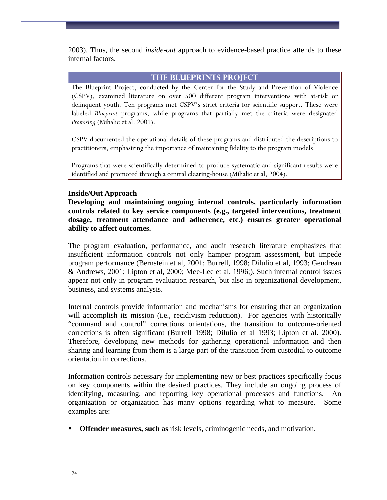2003). Thus, the second *inside-out* approach to evidence-based practice attends to these internal factors.

### **The Blueprints Project**

The Blueprint Project, conducted by the Center for the Study and Prevention of Violence (CSPV), examined literature on over 500 different program interventions with at-risk or delinquent youth. Ten programs met CSPV's strict criteria for scientific support. These were labeled *Blueprint* programs, while programs that partially met the criteria were designated *Promising* (Mihalic et al. 2001).

CSPV documented the operational details of these programs and distributed the descriptions to practitioners, emphasizing the importance of maintaining fidelity to the program models.

Programs that were scientifically determined to produce systematic and significant results were identified and promoted through a central clearing-house (Mihalic et al, 2004).

#### **Inside/Out Approach**

**Developing and maintaining ongoing internal controls, particularly information controls related to key service components (e.g., targeted interventions, treatment dosage, treatment attendance and adherence, etc.) ensures greater operational ability to affect outcomes.** 

The program evaluation, performance, and audit research literature emphasizes that insufficient information controls not only hamper program assessment, but impede program performance (Bernstein et al, 2001; Burrell, 1998; Dilulio et al, 1993; Gendreau & Andrews, 2001; Lipton et al, 2000; Mee-Lee et al, 1996;). Such internal control issues appear not only in program evaluation research, but also in organizational development, business, and systems analysis.

Internal controls provide information and mechanisms for ensuring that an organization will accomplish its mission (i.e., recidivism reduction). For agencies with historically "command and control" corrections orientations, the transition to outcome-oriented corrections is often significant (Burrell 1998; Dilulio et al 1993; Lipton et al. 2000). Therefore, developing new methods for gathering operational information and then sharing and learning from them is a large part of the transition from custodial to outcome orientation in corrections.

Information controls necessary for implementing new or best practices specifically focus on key components within the desired practices. They include an ongoing process of identifying, measuring, and reporting key operational processes and functions. An organization or organization has many options regarding what to measure. Some examples are:

**Offender measures, such as** risk levels, criminogenic needs, and motivation.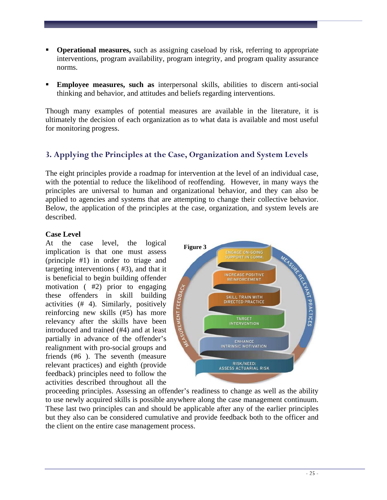- **Operational measures,** such as assigning caseload by risk, referring to appropriate interventions, program availability, program integrity, and program quality assurance norms.
- **Employee measures, such as** interpersonal skills, abilities to discern anti-social thinking and behavior, and attitudes and beliefs regarding interventions.

Though many examples of potential measures are available in the literature, it is ultimately the decision of each organization as to what data is available and most useful for monitoring progress.

# **3. Applying the Principles at the Case, Organization and System Levels**

The eight principles provide a roadmap for intervention at the level of an individual case, with the potential to reduce the likelihood of reoffending. However, in many ways the principles are universal to human and organizational behavior, and they can also be applied to agencies and systems that are attempting to change their collective behavior. Below, the application of the principles at the case, organization, and system levels are described.

# **Case Level**

At the case level, the logical implication is that one must assess (principle #1) in order to triage and targeting interventions ( #3), and that it is beneficial to begin building offender motivation ( #2) prior to engaging these offenders in skill building activities (# 4). Similarly, positively reinforcing new skills (#5) has more relevancy after the skills have been introduced and trained (#4) and at least partially in advance of the offender's realignment with pro-social groups and friends (#6 ). The seventh (measure relevant practices) and eighth (provide feedback) principles need to follow the activities described throughout all the



proceeding principles. Assessing an offender's readiness to change as well as the ability to use newly acquired skills is possible anywhere along the case management continuum. These last two principles can and should be applicable after any of the earlier principles but they also can be considered cumulative and provide feedback both to the officer and the client on the entire case management process.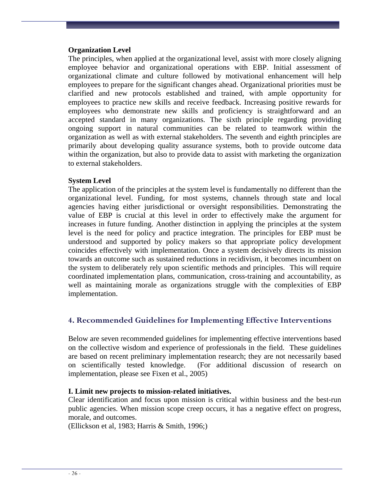#### **Organization Level**

The principles, when applied at the organizational level, assist with more closely aligning employee behavior and organizational operations with EBP. Initial assessment of organizational climate and culture followed by motivational enhancement will help employees to prepare for the significant changes ahead. Organizational priorities must be clarified and new protocols established and trained, with ample opportunity for employees to practice new skills and receive feedback. Increasing positive rewards for employees who demonstrate new skills and proficiency is straightforward and an accepted standard in many organizations. The sixth principle regarding providing ongoing support in natural communities can be related to teamwork within the organization as well as with external stakeholders. The seventh and eighth principles are primarily about developing quality assurance systems, both to provide outcome data within the organization, but also to provide data to assist with marketing the organization to external stakeholders.

#### **System Level**

The application of the principles at the system level is fundamentally no different than the organizational level. Funding, for most systems, channels through state and local agencies having either jurisdictional or oversight responsibilities. Demonstrating the value of EBP is crucial at this level in order to effectively make the argument for increases in future funding. Another distinction in applying the principles at the system level is the need for policy and practice integration. The principles for EBP must be understood and supported by policy makers so that appropriate policy development coincides effectively with implementation. Once a system decisively directs its mission towards an outcome such as sustained reductions in recidivism, it becomes incumbent on the system to deliberately rely upon scientific methods and principles. This will require coordinated implementation plans, communication, cross-training and accountability, as well as maintaining morale as organizations struggle with the complexities of EBP implementation.

# **4. Recommended Guidelines for Implementing Effective Interventions**

Below are seven recommended guidelines for implementing effective interventions based on the collective wisdom and experience of professionals in the field.These guidelines are based on recent preliminary implementation research; they are not necessarily based on scientifically tested knowledge. (For additional discussion of research on implementation, please see Fixen et al., 2005)

#### **I. Limit new projects to mission-related initiatives.**

Clear identification and focus upon mission is critical within business and the best-run public agencies. When mission scope creep occurs, it has a negative effect on progress, morale, and outcomes.

(Ellickson et al, 1983; Harris & Smith, 1996;)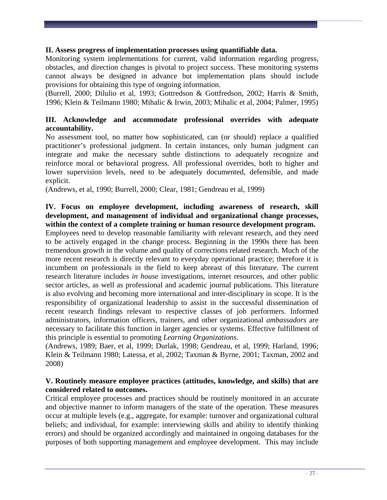#### **II. Assess progress of implementation processes using quantifiable data.**

Monitoring system implementations for current, valid information regarding progress, obstacles, and direction changes is pivotal to project success. These monitoring systems cannot always be designed in advance but implementation plans should include provisions for obtaining this type of ongoing information.

(Burrell, 2000; Dilulio et al, 1993; Gottredson & Gottfredson, 2002; Harris & Smith, 1996; Klein & Teilmann 1980; Mihalic & Irwin, 2003; Mihalic et al, 2004; Palmer, 1995)

### **III. Acknowledge and accommodate professional overrides with adequate accountability.**

No assessment tool, no matter how sophisticated, can (or should) replace a qualified practitioner's professional judgment. In certain instances, only human judgment can integrate and make the necessary subtle distinctions to adequately recognize and reinforce moral or behavioral progress. All professional overrides, both to higher and lower supervision levels, need to be adequately documented, defensible, and made explicit.

(Andrews, et al, 1990; Burrell, 2000; Clear, 1981; Gendreau et al, 1999)

# **IV. Focus on employee development, including awareness of research, skill development, and management of individual and organizational change processes, within the context of a complete training or human resource development program.**

Employees need to develop reasonable familiarity with relevant research, and they need to be actively engaged in the change process. Beginning in the 1990s there has been tremendous growth in the volume and quality of corrections related research. Much of the more recent research is directly relevant to everyday operational practice; therefore it is incumbent on professionals in the field to keep abreast of this literature. The current research literature includes *in house* investigations, internet resources, and other public sector articles, as well as professional and academic journal publications. This literature is also evolving and becoming more international and inter-disciplinary in scope. It is the responsibility of organizational leadership to assist in the successful dissemination of recent research findings relevant to respective classes of job performers. Informed administrators, information officers, trainers, and other organizational *ambassadors* are necessary to facilitate this function in larger agencies or systems. Effective fulfillment of this principle is essential to promoting *Learning Organizations*.

(Andrews, 1989; Baer, et al, 1999; Durlak, 1998; Gendreau, et al, 1999; Harland, 1996; Klein & Teilmann 1980; Latessa, et al, 2002; Taxman & Byrne, 2001; Taxman, 2002 and 2008)

### **V. Routinely measure employee practices (attitudes, knowledge, and skills) that are considered related to outcomes.**

Critical employee processes and practices should be routinely monitored in an accurate and objective manner to inform managers of the state of the operation. These measures occur at multiple levels (e.g., aggregate, for example: turnover and organizational cultural beliefs; and individual, for example: interviewing skills and ability to identify thinking errors) and should be organized accordingly and maintained in ongoing databases for the purposes of both supporting management and employee development. This may include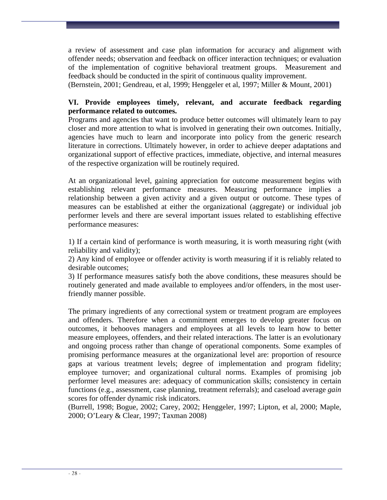a review of assessment and case plan information for accuracy and alignment with offender needs; observation and feedback on officer interaction techniques; or evaluation of the implementation of cognitive behavioral treatment groups. Measurement and feedback should be conducted in the spirit of continuous quality improvement.

(Bernstein, 2001; Gendreau, et al, 1999; Henggeler et al, 1997; Miller & Mount, 2001)

### **VI. Provide employees timely, relevant, and accurate feedback regarding performance related to outcomes.**

Programs and agencies that want to produce better outcomes will ultimately learn to pay closer and more attention to what is involved in generating their own outcomes. Initially, agencies have much to learn and incorporate into policy from the generic research literature in corrections. Ultimately however, in order to achieve deeper adaptations and organizational support of effective practices, immediate, objective, and internal measures of the respective organization will be routinely required.

At an organizational level, gaining appreciation for outcome measurement begins with establishing relevant performance measures. Measuring performance implies a relationship between a given activity and a given output or outcome. These types of measures can be established at either the organizational (aggregate) or individual job performer levels and there are several important issues related to establishing effective performance measures:

1) If a certain kind of performance is worth measuring, it is worth measuring right (with reliability and validity);

2) Any kind of employee or offender activity is worth measuring if it is reliably related to desirable outcomes;

3) If performance measures satisfy both the above conditions, these measures should be routinely generated and made available to employees and/or offenders, in the most userfriendly manner possible.

The primary ingredients of any correctional system or treatment program are employees and offenders. Therefore when a commitment emerges to develop greater focus on outcomes, it behooves managers and employees at all levels to learn how to better measure employees, offenders, and their related interactions. The latter is an evolutionary and ongoing process rather than change of operational components. Some examples of promising performance measures at the organizational level are: proportion of resource gaps at various treatment levels; degree of implementation and program fidelity; employee turnover; and organizational cultural norms. Examples of promising job performer level measures are: adequacy of communication skills; consistency in certain functions (e.g., assessment, case planning, treatment referrals); and caseload average *gain*  scores for offender dynamic risk indicators.

(Burrell, 1998; Bogue, 2002; Carey, 2002; Henggeler, 1997; Lipton, et al, 2000; Maple, 2000; O'Leary & Clear, 1997; Taxman 2008)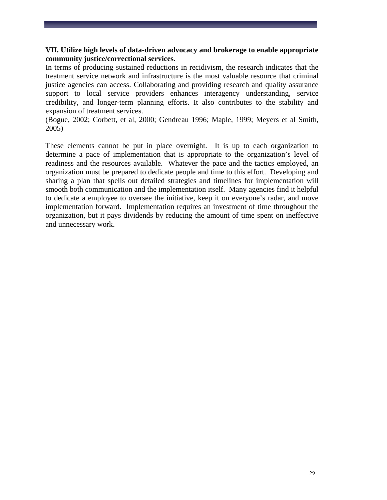### **VII. Utilize high levels of data-driven advocacy and brokerage to enable appropriate community justice/correctional services.**

In terms of producing sustained reductions in recidivism, the research indicates that the treatment service network and infrastructure is the most valuable resource that criminal justice agencies can access. Collaborating and providing research and quality assurance support to local service providers enhances interagency understanding, service credibility, and longer-term planning efforts. It also contributes to the stability and expansion of treatment services.

(Bogue, 2002; Corbett, et al, 2000; Gendreau 1996; Maple, 1999; Meyers et al Smith, 2005)

These elements cannot be put in place overnight. It is up to each organization to determine a pace of implementation that is appropriate to the organization's level of readiness and the resources available. Whatever the pace and the tactics employed, an organization must be prepared to dedicate people and time to this effort. Developing and sharing a plan that spells out detailed strategies and timelines for implementation will smooth both communication and the implementation itself. Many agencies find it helpful to dedicate a employee to oversee the initiative, keep it on everyone's radar, and move implementation forward. Implementation requires an investment of time throughout the organization, but it pays dividends by reducing the amount of time spent on ineffective and unnecessary work.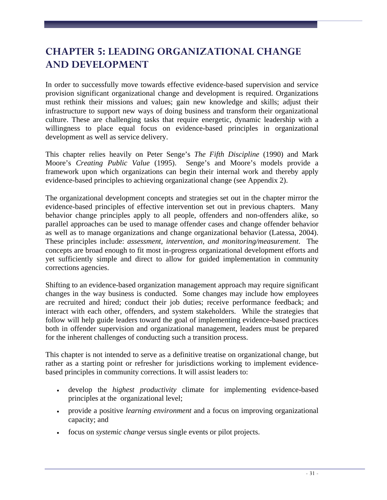# **CHAPTER 5: LEADING ORGANIZATIONAL CHANGE AND DEVELOPMENT**

In order to successfully move towards effective evidence-based supervision and service provision significant organizational change and development is required. Organizations must rethink their missions and values; gain new knowledge and skills; adjust their infrastructure to support new ways of doing business and transform their organizational culture. These are challenging tasks that require energetic, dynamic leadership with a willingness to place equal focus on evidence-based principles in organizational development as well as service delivery.

This chapter relies heavily on Peter Senge's *The Fifth Discipline* (1990) and Mark Moore's *Creating Public Value* (1995). Senge's and Moore's models provide a framework upon which organizations can begin their internal work and thereby apply evidence-based principles to achieving organizational change (see Appendix 2).

The organizational development concepts and strategies set out in the chapter mirror the evidence-based principles of effective intervention set out in previous chapters. Many behavior change principles apply to all people, offenders and non-offenders alike, so parallel approaches can be used to manage offender cases and change offender behavior as well as to manage organizations and change organizational behavior (Latessa, 2004). These principles include: *assessment, intervention, and monitoring/measurement*. The concepts are broad enough to fit most in-progress organizational development efforts and yet sufficiently simple and direct to allow for guided implementation in community corrections agencies.

Shifting to an evidence-based organization management approach may require significant changes in the way business is conducted. Some changes may include how employees are recruited and hired; conduct their job duties; receive performance feedback; and interact with each other, offenders, and system stakeholders. While the strategies that follow will help guide leaders toward the goal of implementing evidence-based practices both in offender supervision and organizational management, leaders must be prepared for the inherent challenges of conducting such a transition process.

This chapter is not intended to serve as a definitive treatise on organizational change, but rather as a starting point or refresher for jurisdictions working to implement evidencebased principles in community corrections. It will assist leaders to:

- develop the *highest productivity* climate for implementing evidence-based principles at the organizational level;
- provide a positive *learning environment* and a focus on improving organizational capacity; and
- focus on *systemic change* versus single events or pilot projects.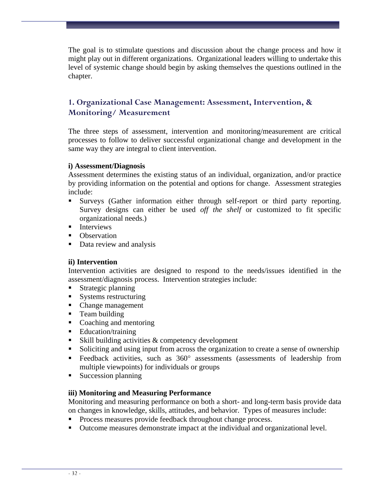The goal is to stimulate questions and discussion about the change process and how it might play out in different organizations. Organizational leaders willing to undertake this level of systemic change should begin by asking themselves the questions outlined in the chapter.

# **1. Organizational Case Management: Assessment, Intervention, & Monitoring/ Measurement**

The three steps of assessment, intervention and monitoring/measurement are critical processes to follow to deliver successful organizational change and development in the same way they are integral to client intervention.

#### **i) Assessment/Diagnosis**

Assessment determines the existing status of an individual, organization, and/or practice by providing information on the potential and options for change. Assessment strategies include:

- Surveys (Gather information either through self-report or third party reporting. Survey designs can either be used *off the shelf* or customized to fit specific organizational needs.)
- **Interviews**
- Observation
- Data review and analysis

#### **ii) Intervention**

Intervention activities are designed to respond to the needs/issues identified in the assessment/diagnosis process. Intervention strategies include:

- **Strategic planning**
- Systems restructuring
- Change management
- **Team building**
- Coaching and mentoring
- Education/training
- Skill building activities & competency development
- Soliciting and using input from across the organization to create a sense of ownership
- Feedback activities, such as  $360^{\circ}$  assessments (assessments of leadership from multiple viewpoints) for individuals or groups
- Succession planning

#### **iii) Monitoring and Measuring Performance**

Monitoring and measuring performance on both a short- and long-term basis provide data on changes in knowledge, skills, attitudes, and behavior. Types of measures include:

- **Process measures provide feedback throughout change process.**
- Outcome measures demonstrate impact at the individual and organizational level.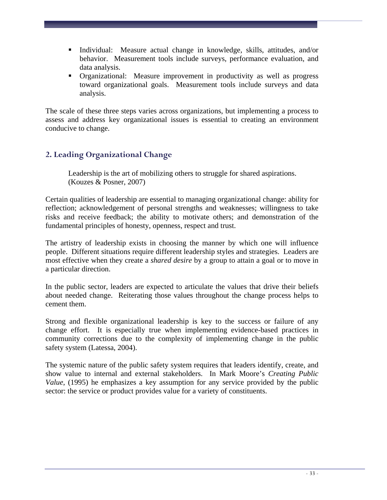- Individual: Measure actual change in knowledge, skills, attitudes, and/or behavior. Measurement tools include surveys, performance evaluation, and data analysis.
- Organizational: Measure improvement in productivity as well as progress toward organizational goals. Measurement tools include surveys and data analysis.

The scale of these three steps varies across organizations, but implementing a process to assess and address key organizational issues is essential to creating an environment conducive to change.

# **2. Leading Organizational Change**

Leadership is the art of mobilizing others to struggle for shared aspirations. (Kouzes & Posner, 2007)

Certain qualities of leadership are essential to managing organizational change: ability for reflection; acknowledgement of personal strengths and weaknesses; willingness to take risks and receive feedback; the ability to motivate others; and demonstration of the fundamental principles of honesty, openness, respect and trust.

The artistry of leadership exists in choosing the manner by which one will influence people. Different situations require different leadership styles and strategies. Leaders are most effective when they create a *shared desire* by a group to attain a goal or to move in a particular direction.

In the public sector, leaders are expected to articulate the values that drive their beliefs about needed change. Reiterating those values throughout the change process helps to cement them.

Strong and flexible organizational leadership is key to the success or failure of any change effort. It is especially true when implementing evidence-based practices in community corrections due to the complexity of implementing change in the public safety system (Latessa, 2004).

The systemic nature of the public safety system requires that leaders identify, create, and show value to internal and external stakeholders. In Mark Moore's *Creating Public Value*, (1995) he emphasizes a key assumption for any service provided by the public sector: the service or product provides value for a variety of constituents.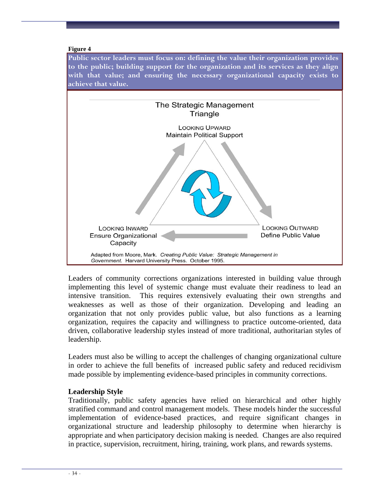#### **Figure 4**

**Public sector leaders must focus on: defining the value their organization provides to the public; building support for the organization and its services as they align with that value; and ensuring the necessary organizational capacity exists to achieve that value.** 



Leaders of community corrections organizations interested in building value through implementing this level of systemic change must evaluate their readiness to lead an intensive transition. This requires extensively evaluating their own strengths and weaknesses as well as those of their organization. Developing and leading an organization that not only provides public value, but also functions as a learning organization, requires the capacity and willingness to practice outcome-oriented, data driven, collaborative leadership styles instead of more traditional, authoritarian styles of leadership.

Leaders must also be willing to accept the challenges of changing organizational culture in order to achieve the full benefits of increased public safety and reduced recidivism made possible by implementing evidence-based principles in community corrections.

#### **Leadership Style**

Traditionally, public safety agencies have relied on hierarchical and other highly stratified command and control management models. These models hinder the successful implementation of evidence-based practices, and require significant changes in organizational structure and leadership philosophy to determine when hierarchy is appropriate and when participatory decision making is needed. Changes are also required in practice, supervision, recruitment, hiring, training, work plans, and rewards systems.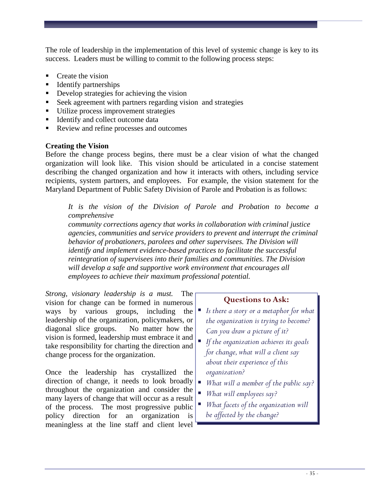The role of leadership in the implementation of this level of systemic change is key to its success. Leaders must be willing to commit to the following process steps:

- Create the vision
- Identify partnerships
- Develop strategies for achieving the vision
- Seek agreement with partners regarding vision and strategies
- Utilize process improvement strategies
- Identify and collect outcome data
- Review and refine processes and outcomes

# **Creating the Vision**

Before the change process begins, there must be a clear vision of what the changed organization will look like. This vision should be articulated in a concise statement describing the changed organization and how it interacts with others, including service recipients, system partners, and employees. For example, the vision statement for the Maryland Department of Public Safety Division of Parole and Probation is as follows:

*It is the vision of the Division of Parole and Probation to become a comprehensive* 

*community corrections agency that works in collaboration with criminal justice agencies, communities and service providers to prevent and interrupt the criminal behavior of probationers, parolees and other supervisees. The Division will identify and implement evidence-based practices to facilitate the successful reintegration of supervisees into their families and communities. The Division will develop a safe and supportive work environment that encourages all employees to achieve their maximum professional potential.* 

*Strong, visionary leadership is a must.* The vision for change can be formed in numerous ways by various groups, including the leadership of the organization, policymakers, or diagonal slice groups. No matter how the vision is formed, leadership must embrace it and take responsibility for charting the direction and change process for the organization.

Once the leadership has crystallized the direction of change, it needs to look broadly throughout the organization and consider the many layers of change that will occur as a result of the process. The most progressive public policy direction for an organization is meaningless at the line staff and client level

# **Questions to Ask:**

- *Is there a story or a metaphor for what the organization is trying to become? Can you draw a picture of it?*
- *If the organization achieves its goals for change, what will a client say about their experience of this organization?*
- *What will a member of the public say?*
- *What will employees say?*
- *What facets of the organization will be affected by the change?*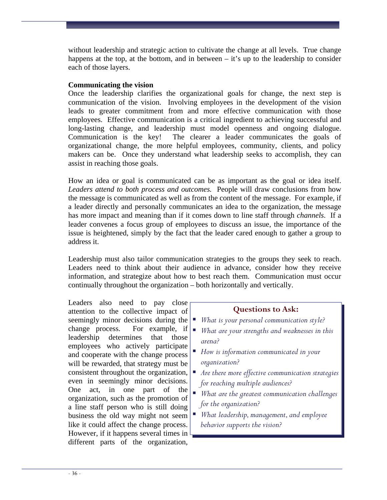without leadership and strategic action to cultivate the change at all levels. True change happens at the top, at the bottom, and in between  $-$  it's up to the leadership to consider each of those layers.

### **Communicating the vision**

Once the leadership clarifies the organizational goals for change, the next step is communication of the vision. Involving employees in the development of the vision leads to greater commitment from and more effective communication with those employees. Effective communication is a critical ingredient to achieving successful and long-lasting change, and leadership must model openness and ongoing dialogue. Communication is the key! The clearer a leader communicates the goals of organizational change, the more helpful employees, community, clients, and policy makers can be. Once they understand what leadership seeks to accomplish, they can assist in reaching those goals.

How an idea or goal is communicated can be as important as the goal or idea itself. *Leaders attend to both process and outcomes.* People will draw conclusions from how the message is communicated as well as from the content of the message. For example, if a leader directly and personally communicates an idea to the organization, the message has more impact and meaning than if it comes down to line staff through *channels*. If a leader convenes a focus group of employees to discuss an issue, the importance of the issue is heightened, simply by the fact that the leader cared enough to gather a group to address it.

Leadership must also tailor communication strategies to the groups they seek to reach. Leaders need to think about their audience in advance, consider how they receive information, and strategize about how to best reach them. Communication must occur continually throughout the organization – both horizontally and vertically.

Leaders also need to pay close attention to the collective impact of seemingly minor decisions during the change process. For example, if *What are your strengths and weaknesses in this*  leadership determines that those employees who actively participate and cooperate with the change process will be rewarded, that strategy must be consistent throughout the organization, even in seemingly minor decisions. One act, in one part of the organization, such as the promotion of a line staff person who is still doing business the old way might not seem like it could affect the change process. However, if it happens several times in different parts of the organization,

# **Questions to Ask:**

- *What is your personal communication style?* 
	- *arena?*
- *How is information communicated in your organization?*
- *Are there more effective communication strategies for reaching multiple audiences?*
- *What are the greatest communication challenges for the organization?*
- *What leadership, management, and employee behavior supports the vision?*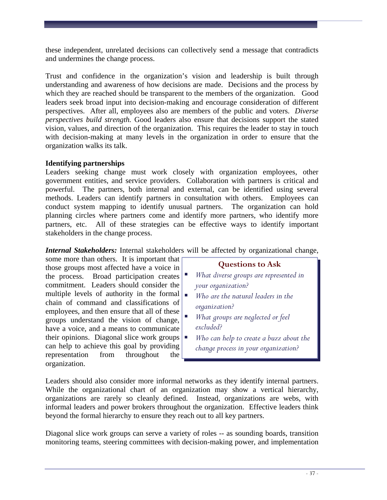these independent, unrelated decisions can collectively send a message that contradicts and undermines the change process.

Trust and confidence in the organization's vision and leadership is built through understanding and awareness of how decisions are made. Decisions and the process by which they are reached should be transparent to the members of the organization. Good leaders seek broad input into decision-making and encourage consideration of different perspectives. After all, employees also are members of the public and voters. *Diverse perspectives build strength.* Good leaders also ensure that decisions support the stated vision, values, and direction of the organization. This requires the leader to stay in touch with decision-making at many levels in the organization in order to ensure that the organization walks its talk.

### **Identifying partnerships**

Leaders seeking change must work closely with organization employees, other government entities, and service providers. Collaboration with partners is critical and powerful. The partners, both internal and external, can be identified using several methods. Leaders can identify partners in consultation with others. Employees can conduct system mapping to identify unusual partners. The organization can hold planning circles where partners come and identify more partners, who identify more partners, etc. All of these strategies can be effective ways to identify important stakeholders in the change process.

*Internal Stakeholders:* Internal stakeholders will be affected by organizational change,

some more than others. It is important that those groups most affected have a voice in the process. Broad participation creates commitment.Leaders should consider the multiple levels of authority in the formal  $\blacksquare$ chain of command and classifications of employees, and then ensure that all of these groups understand the vision of change, have a voice, and a means to communicate their opinions. Diagonal slice work groups  $\vert \bullet \vert$ can help to achieve this goal by providing representation from throughout the organization.

# **Questions to Ask**

- *What diverse groups are represented in your organization?*
- *Who are the natural leaders in the organization?*
- *What groups are neglected or feel excluded?* 
	- *Who can help to create a buzz about the change process in your organization?*

Leaders should also consider more informal networks as they identify internal partners. While the organizational chart of an organization may show a vertical hierarchy, organizations are rarely so cleanly defined. Instead, organizations are webs, with informal leaders and power brokers throughout the organization. Effective leaders think beyond the formal hierarchy to ensure they reach out to all key partners.

Diagonal slice work groups can serve a variety of roles -- as sounding boards, transition monitoring teams, steering committees with decision-making power, and implementation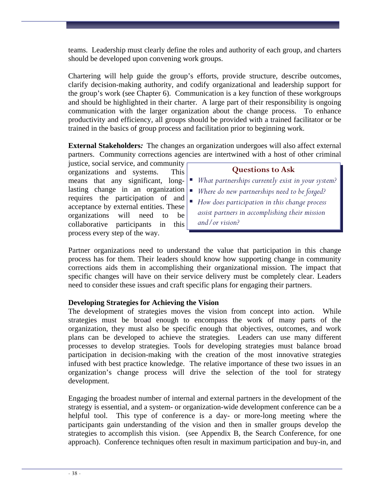teams. Leadership must clearly define the roles and authority of each group, and charters should be developed upon convening work groups.

Chartering will help guide the group's efforts, provide structure, describe outcomes, clarify decision-making authority, and codify organizational and leadership support for the group's work (see Chapter 6). Communication is a key function of these workgroups and should be highlighted in their charter. A large part of their responsibility is ongoing communication with the larger organization about the change process. To enhance productivity and efficiency, all groups should be provided with a trained facilitator or be trained in the basics of group process and facilitation prior to beginning work.

**External Stakeholders***:* The changes an organization undergoes will also affect external partners. Community corrections agencies are intertwined with a host of other criminal

justice, social service, and community organizations and systems. This means that any significant, longlasting change in an organization requires the participation of and acceptance by external entities. These organizations will need to be collaborative participants in this process every step of the way.

# **Questions to Ask**

- *What partnerships currently exist in your system?*
- *Where do new partnerships need to be forged?*
- *How does participation in this change process assist partners in accomplishing their mission and/or vision?*

Partner organizations need to understand the value that participation in this change process has for them. Their leaders should know how supporting change in community corrections aids them in accomplishing their organizational mission. The impact that specific changes will have on their service delivery must be completely clear. Leaders need to consider these issues and craft specific plans for engaging their partners.

# **Developing Strategies for Achieving the Vision**

The development of strategies moves the vision from concept into action. While strategies must be broad enough to encompass the work of many parts of the organization, they must also be specific enough that objectives, outcomes, and work plans can be developed to achieve the strategies. Leaders can use many different processes to develop strategies. Tools for developing strategies must balance broad participation in decision-making with the creation of the most innovative strategies infused with best practice knowledge. The relative importance of these two issues in an organization's change process will drive the selection of the tool for strategy development.

Engaging the broadest number of internal and external partners in the development of the strategy is essential, and a system- or organization-wide development conference can be a helpful tool. This type of conference is a day- or more-long meeting where the participants gain understanding of the vision and then in smaller groups develop the strategies to accomplish this vision. (see Appendix B, the Search Conference, for one approach).Conference techniques often result in maximum participation and buy-in, and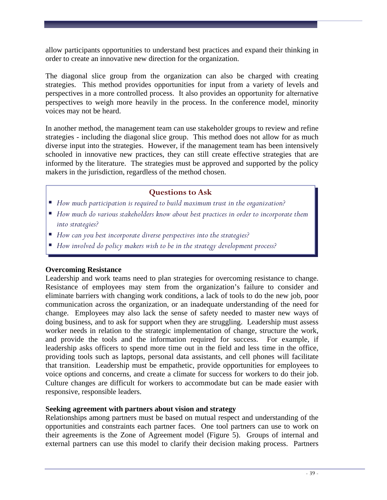allow participants opportunities to understand best practices and expand their thinking in order to create an innovative new direction for the organization.

The diagonal slice group from the organization can also be charged with creating strategies. This method provides opportunities for input from a variety of levels and perspectives in a more controlled process. It also provides an opportunity for alternative perspectives to weigh more heavily in the process. In the conference model, minority voices may not be heard.

In another method, the management team can use stakeholder groups to review and refine strategies - including the diagonal slice group. This method does not allow for as much diverse input into the strategies. However, if the management team has been intensively schooled in innovative new practices, they can still create effective strategies that are informed by the literature. The strategies must be approved and supported by the policy makers in the jurisdiction, regardless of the method chosen.

# **Questions to Ask**

- *How much participation is required to build maximum trust in the organization?*
- *How much do various stakeholders know about best practices in order to incorporate them into strategies?*
- *How can you best incorporate diverse perspectives into the strategies?*
- *How involved do policy makers wish to be in the strategy development process?*

#### **Overcoming Resistance**

Leadership and work teams need to plan strategies for overcoming resistance to change. Resistance of employees may stem from the organization's failure to consider and eliminate barriers with changing work conditions, a lack of tools to do the new job, poor communication across the organization, or an inadequate understanding of the need for change. Employees may also lack the sense of safety needed to master new ways of doing business, and to ask for support when they are struggling. Leadership must assess worker needs in relation to the strategic implementation of change, structure the work, and provide the tools and the information required for success. For example, if leadership asks officers to spend more time out in the field and less time in the office, providing tools such as laptops, personal data assistants, and cell phones will facilitate that transition. Leadership must be empathetic, provide opportunities for employees to voice options and concerns, and create a climate for success for workers to do their job. Culture changes are difficult for workers to accommodate but can be made easier with responsive, responsible leaders.

#### **Seeking agreement with partners about vision and strategy**

Relationships among partners must be based on mutual respect and understanding of the opportunities and constraints each partner faces. One tool partners can use to work on their agreements is the Zone of Agreement model (Figure 5). Groups of internal and external partners can use this model to clarify their decision making process. Partners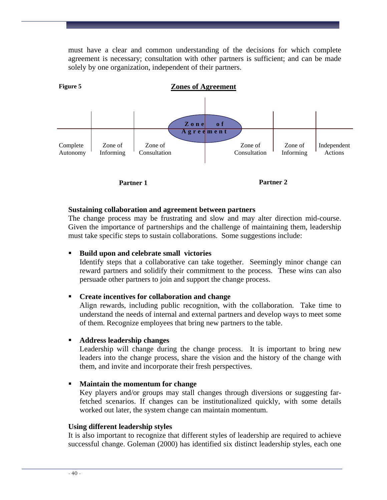must have a clear and common understanding of the decisions for which complete agreement is necessary; consultation with other partners is sufficient; and can be made solely by one organization, independent of their partners.



**Partner 1** 

**Partner 2** 

#### **Sustaining collaboration and agreement between partners**

The change process may be frustrating and slow and may alter direction mid-course. Given the importance of partnerships and the challenge of maintaining them, leadership must take specific steps to sustain collaborations. Some suggestions include:

#### **Build upon and celebrate small victories**

Identify steps that a collaborative can take together. Seemingly minor change can reward partners and solidify their commitment to the process. These wins can also persuade other partners to join and support the change process.

#### **Create incentives for collaboration and change**

Align rewards, including public recognition, with the collaboration. Take time to understand the needs of internal and external partners and develop ways to meet some of them. Recognize employees that bring new partners to the table.

#### **Address leadership changes**

Leadership will change during the change process. It is important to bring new leaders into the change process, share the vision and the history of the change with them, and invite and incorporate their fresh perspectives.

#### **Maintain the momentum for change**

Key players and/or groups may stall changes through diversions or suggesting farfetched scenarios. If changes can be institutionalized quickly, with some details worked out later, the system change can maintain momentum.

#### **Using different leadership styles**

It is also important to recognize that different styles of leadership are required to achieve successful change. Goleman (2000) has identified six distinct leadership styles, each one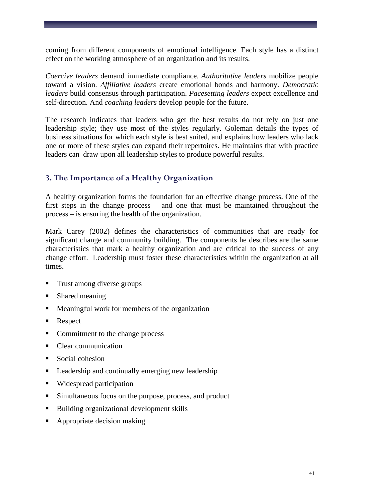coming from different components of emotional intelligence. Each style has a distinct effect on the working atmosphere of an organization and its results.

*Coercive leaders* demand immediate compliance. *Authoritative leaders* mobilize people toward a vision. *Affiliative leaders* create emotional bonds and harmony. *Democratic leaders* build consensus through participation. *Pacesetting leaders* expect excellence and self-direction. And *coaching leaders* develop people for the future.

The research indicates that leaders who get the best results do not rely on just one leadership style; they use most of the styles regularly. Goleman details the types of business situations for which each style is best suited, and explains how leaders who lack one or more of these styles can expand their repertoires. He maintains that with practice leaders can draw upon all leadership styles to produce powerful results.

# **3. The Importance of a Healthy Organization**

A healthy organization forms the foundation for an effective change process. One of the first steps in the change process – and one that must be maintained throughout the process – is ensuring the health of the organization.

Mark Carey (2002) defines the characteristics of communities that are ready for significant change and community building. The components he describes are the same characteristics that mark a healthy organization and are critical to the success of any change effort. Leadership must foster these characteristics within the organization at all times.

- Trust among diverse groups
- Shared meaning
- Meaningful work for members of the organization
- **Respect**
- Commitment to the change process
- Clear communication
- Social cohesion
- **Leadership and continually emerging new leadership**
- Widespread participation
- Simultaneous focus on the purpose, process, and product
- Building organizational development skills
- Appropriate decision making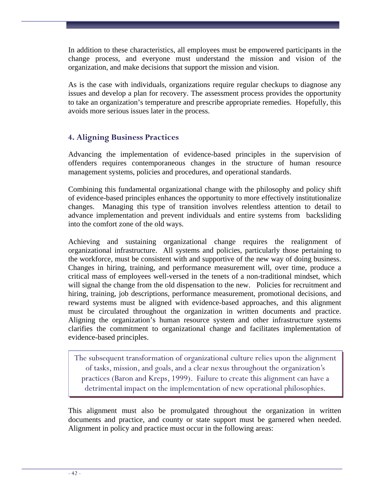In addition to these characteristics, all employees must be empowered participants in the change process, and everyone must understand the mission and vision of the organization, and make decisions that support the mission and vision.

As is the case with individuals, organizations require regular checkups to diagnose any issues and develop a plan for recovery. The assessment process provides the opportunity to take an organization's temperature and prescribe appropriate remedies. Hopefully, this avoids more serious issues later in the process.

# **4. Aligning Business Practices**

Advancing the implementation of evidence-based principles in the supervision of offenders requires contemporaneous changes in the structure of human resource management systems, policies and procedures, and operational standards.

Combining this fundamental organizational change with the philosophy and policy shift of evidence-based principles enhances the opportunity to more effectively institutionalize changes. Managing this type of transition involves relentless attention to detail to advance implementation and prevent individuals and entire systems from backsliding into the comfort zone of the old ways.

Achieving and sustaining organizational change requires the realignment of organizational infrastructure. All systems and policies, particularly those pertaining to the workforce, must be consistent with and supportive of the new way of doing business. Changes in hiring, training, and performance measurement will, over time, produce a critical mass of employees well-versed in the tenets of a non-traditional mindset, which will signal the change from the old dispensation to the new. Policies for recruitment and hiring, training, job descriptions, performance measurement, promotional decisions, and reward systems must be aligned with evidence-based approaches, and this alignment must be circulated throughout the organization in written documents and practice. Aligning the organization's human resource system and other infrastructure systems clarifies the commitment to organizational change and facilitates implementation of evidence-based principles.

The subsequent transformation of organizational culture relies upon the alignment of tasks, mission, and goals, and a clear nexus throughout the organization's practices (Baron and Kreps, 1999). Failure to create this alignment can have a detrimental impact on the implementation of new operational philosophies.

This alignment must also be promulgated throughout the organization in written documents and practice, and county or state support must be garnered when needed. Alignment in policy and practice must occur in the following areas: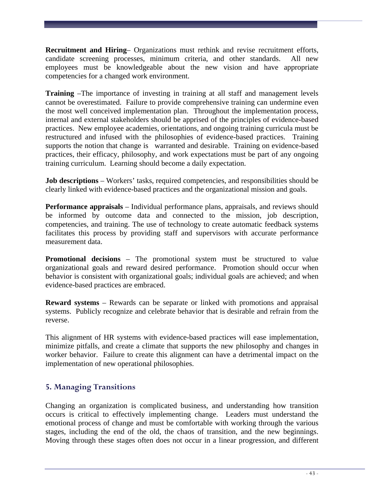**Recruitment and Hiring**– Organizations must rethink and revise recruitment efforts, candidate screening processes, minimum criteria, and other standards. All new employees must be knowledgeable about the new vision and have appropriate competencies for a changed work environment.

**Training** –The importance of investing in training at all staff and management levels cannot be overestimated. Failure to provide comprehensive training can undermine even the most well conceived implementation plan. Throughout the implementation process, internal and external stakeholders should be apprised of the principles of evidence-based practices. New employee academies, orientations, and ongoing training curricula must be restructured and infused with the philosophies of evidence-based practices. Training supports the notion that change is warranted and desirable. Training on evidence-based practices, their efficacy, philosophy, and work expectations must be part of any ongoing training curriculum. Learning should become a daily expectation.

**Job descriptions** – Workers' tasks, required competencies, and responsibilities should be clearly linked with evidence-based practices and the organizational mission and goals.

**Performance appraisals** – Individual performance plans, appraisals, and reviews should be informed by outcome data and connected to the mission, job description, competencies, and training. The use of technology to create automatic feedback systems facilitates this process by providing staff and supervisors with accurate performance measurement data.

**Promotional decisions** – The promotional system must be structured to value organizational goals and reward desired performance. Promotion should occur when behavior is consistent with organizational goals; individual goals are achieved; and when evidence-based practices are embraced.

**Reward systems** – Rewards can be separate or linked with promotions and appraisal systems. Publicly recognize and celebrate behavior that is desirable and refrain from the reverse.

This alignment of HR systems with evidence-based practices will ease implementation, minimize pitfalls, and create a climate that supports the new philosophy and changes in worker behavior. Failure to create this alignment can have a detrimental impact on the implementation of new operational philosophies.

# **5. Managing Transitions**

Changing an organization is complicated business, and understanding how transition occurs is critical to effectively implementing change. Leaders must understand the emotional process of change and must be comfortable with working through the various stages, including the end of the old, the chaos of transition, and the new beginnings. Moving through these stages often does not occur in a linear progression, and different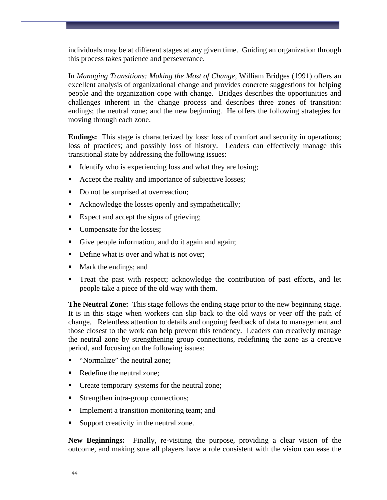individuals may be at different stages at any given time. Guiding an organization through this process takes patience and perseverance.

In *Managing Transitions: Making the Most of Change*, William Bridges (1991) offers an excellent analysis of organizational change and provides concrete suggestions for helping people and the organization cope with change. Bridges describes the opportunities and challenges inherent in the change process and describes three zones of transition: endings; the neutral zone; and the new beginning. He offers the following strategies for moving through each zone.

**Endings:** This stage is characterized by loss: loss of comfort and security in operations; loss of practices; and possibly loss of history. Leaders can effectively manage this transitional state by addressing the following issues:

- Identify who is experiencing loss and what they are losing;
- Accept the reality and importance of subjective losses;
- Do not be surprised at overreaction;
- Acknowledge the losses openly and sympathetically;
- Expect and accept the signs of grieving;
- Compensate for the losses;
- Give people information, and do it again and again;
- Define what is over and what is not over;
- Mark the endings; and
- Treat the past with respect; acknowledge the contribution of past efforts, and let people take a piece of the old way with them.

**The Neutral Zone:** This stage follows the ending stage prior to the new beginning stage. It is in this stage when workers can slip back to the old ways or veer off the path of change. Relentless attention to details and ongoing feedback of data to management and those closest to the work can help prevent this tendency. Leaders can creatively manage the neutral zone by strengthening group connections, redefining the zone as a creative period, and focusing on the following issues:

- "Normalize" the neutral zone;
- Redefine the neutral zone:
- Create temporary systems for the neutral zone;
- **Strengthen intra-group connections;**
- **Implement a transition monitoring team; and**
- Support creativity in the neutral zone.

**New Beginnings:** Finally, re-visiting the purpose, providing a clear vision of the outcome, and making sure all players have a role consistent with the vision can ease the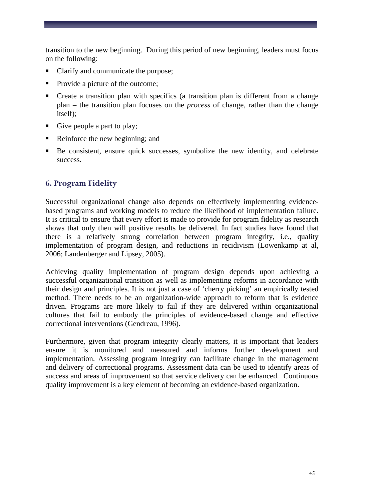transition to the new beginning. During this period of new beginning, leaders must focus on the following:

- Clarify and communicate the purpose;
- Provide a picture of the outcome;
- Create a transition plan with specifics (a transition plan is different from a change plan – the transition plan focuses on the *process* of change, rather than the change itself);
- Give people a part to play;
- Reinforce the new beginning; and
- Be consistent, ensure quick successes, symbolize the new identity, and celebrate success.

# **6. Program Fidelity**

Successful organizational change also depends on effectively implementing evidencebased programs and working models to reduce the likelihood of implementation failure. It is critical to ensure that every effort is made to provide for program fidelity as research shows that only then will positive results be delivered. In fact studies have found that there is a relatively strong correlation between program integrity, i.e., quality implementation of program design, and reductions in recidivism (Lowenkamp at al, 2006; Landenberger and Lipsey, 2005).

Achieving quality implementation of program design depends upon achieving a successful organizational transition as well as implementing reforms in accordance with their design and principles. It is not just a case of 'cherry picking' an empirically tested method. There needs to be an organization-wide approach to reform that is evidence driven. Programs are more likely to fail if they are delivered within organizational cultures that fail to embody the principles of evidence-based change and effective correctional interventions (Gendreau, 1996).

Furthermore, given that program integrity clearly matters, it is important that leaders ensure it is monitored and measured and informs further development and implementation. Assessing program integrity can facilitate change in the management and delivery of correctional programs. Assessment data can be used to identify areas of success and areas of improvement so that service delivery can be enhanced. Continuous quality improvement is a key element of becoming an evidence-based organization.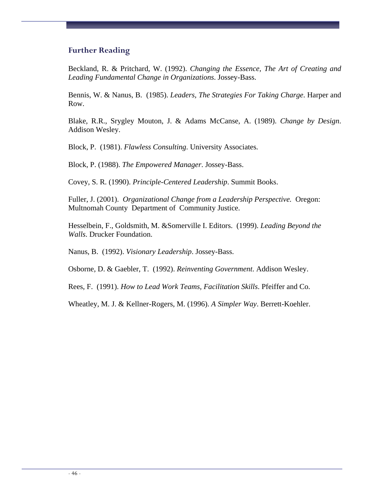### **Further Reading**

Beckland, R. & Pritchard, W. (1992). *Changing the Essence, The Art of Creating and Leading Fundamental Change in Organizations*. Jossey-Bass.

Bennis, W. & Nanus, B. (1985). *Leaders, The Strategies For Taking Charge*. Harper and Row.

Blake, R.R., Srygley Mouton, J. & Adams McCanse, A. (1989). *Change by Design*. Addison Wesley.

Block, P. (1981). *Flawless Consulting*. University Associates.

Block, P. (1988). *The Empowered Manager*. Jossey-Bass.

Covey, S. R. (1990). *Principle-Centered Leadership*. Summit Books.

Fuller, J. (2001). *Organizational Change from a Leadership Perspective.* Oregon: Multnomah County Department of Community Justice.

Hesselbein, F., Goldsmith, M. &Somerville I. Editors. (1999). *Leading Beyond the Walls*. Drucker Foundation.

Nanus, B. (1992). *Visionary Leadership*. Jossey-Bass.

Osborne, D. & Gaebler, T. (1992). *Reinventing Government*. Addison Wesley.

Rees, F. (1991). *How to Lead Work Teams, Facilitation Skills*. Pfeiffer and Co.

Wheatley, M. J. & Kellner-Rogers, M. (1996). *A Simpler Way*. Berrett-Koehler.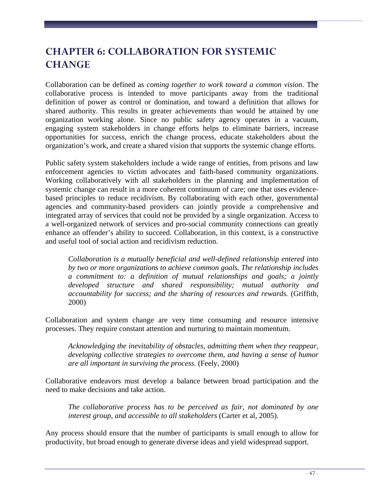# **CHAPTER 6: COLLABORATION FOR SYSTEMIC CHANGE**

Collaboration can be defined as *coming together to work toward a common vision*. The collaborative process is intended to move participants away from the traditional definition of power as control or domination, and toward a definition that allows for shared authority. This results in greater achievements than would be attained by one organization working alone. Since no public safety agency operates in a vacuum, engaging system stakeholders in change efforts helps to eliminate barriers, increase opportunities for success, enrich the change process, educate stakeholders about the organization's work, and create a shared vision that supports the systemic change efforts.

Public safety system stakeholders include a wide range of entities, from prisons and law enforcement agencies to victim advocates and faith-based community organizations. Working collaboratively with all stakeholders in the planning and implementation of systemic change can result in a more coherent continuum of care; one that uses evidencebased principles to reduce recidivism. By collaborating with each other, governmental agencies and community-based providers can jointly provide a comprehensive and integrated array of services that could not be provided by a single organization. Access to a well-organized network of services and pro-social community connections can greatly enhance an offender's ability to succeed. Collaboration, in this context, is a constructive and useful tool of social action and recidivism reduction.

*Collaboration is a mutually beneficial and well-defined relationship entered into by two or more organizations to achieve common goals. The relationship includes a commitment to: a definition of mutual relationships and goals; a jointly developed structure and shared responsibility; mutual authority and accountability for success; and the sharing of resources and rewards.* (Griffith, 2000)

Collaboration and system change are very time consuming and resource intensive processes. They require constant attention and nurturing to maintain momentum.

*Acknowledging the inevitability of obstacles, admitting them when they reappear, developing collective strategies to overcome them, and having a sense of humor are all important in surviving the process.* (Feely, 2000)

Collaborative endeavors must develop a balance between broad participation and the need to make decisions and take action.

*The collaborative process has to be perceived as fair, not dominated by one interest group, and accessible to all stakeholders* (Carter et al, 2005).

Any process should ensure that the number of participants is small enough to allow for productivity, but broad enough to generate diverse ideas and yield widespread support.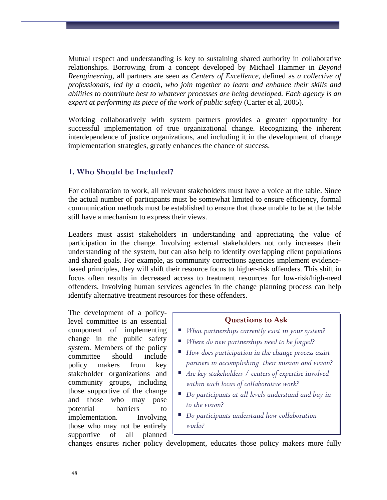Mutual respect and understanding is key to sustaining shared authority in collaborative relationships. Borrowing from a concept developed by Michael Hammer in *Beyond Reengineering*, all partners are seen as *Centers of Excellence*, defined as *a collective of professionals, led by a coach, who join together to learn and enhance their skills and abilities to contribute best to whatever processes are being developed. Each agency is an expert at performing its piece of the work of public safety* (Carter et al, 2005).

Working collaboratively with system partners provides a greater opportunity for successful implementation of true organizational change. Recognizing the inherent interdependence of justice organizations, and including it in the development of change implementation strategies, greatly enhances the chance of success.

# **1. Who Should be Included?**

For collaboration to work, all relevant stakeholders must have a voice at the table. Since the actual number of participants must be somewhat limited to ensure efficiency, formal communication methods must be established to ensure that those unable to be at the table still have a mechanism to express their views.

Leaders must assist stakeholders in understanding and appreciating the value of participation in the change. Involving external stakeholders not only increases their understanding of the system, but can also help to identify overlapping client populations and shared goals. For example, as community corrections agencies implement evidencebased principles, they will shift their resource focus to higher-risk offenders. This shift in focus often results in decreased access to treatment resources for low-risk/high-need offenders. Involving human services agencies in the change planning process can help identify alternative treatment resources for these offenders.

The development of a policylevel committee is an essential component of implementing change in the public safety system. Members of the policy committee should include policy makers from key stakeholder organizations and community groups, including those supportive of the change and those who may pose potential barriers to implementation. Involving those who may not be entirely supportive of all planned

# **Questions to Ask**

- *What partnerships currently exist in your system?*
- *Where do new partnerships need to be forged?*
- *How does participation in the change process assist partners in accomplishing their mission and vision?*
- *Are key stakeholders / centers of expertise involved within each locus of collaborative work?*
- *Do participants at all levels understand and buy in to the vision?*
- *Do participants understand how collaboration works?*

changes ensures richer policy development, educates those policy makers more fully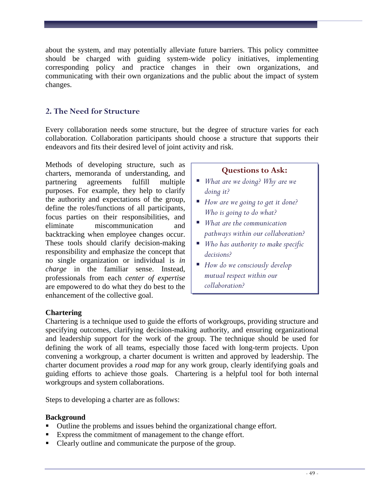about the system, and may potentially alleviate future barriers. This policy committee should be charged with guiding system-wide policy initiatives, implementing corresponding policy and practice changes in their own organizations, and communicating with their own organizations and the public about the impact of system changes.

# **2. The Need for Structure**

Every collaboration needs some structure, but the degree of structure varies for each collaboration. Collaboration participants should choose a structure that supports their endeavors and fits their desired level of joint activity and risk.

Methods of developing structure, such as charters, memoranda of understanding, and partnering agreements fulfill multiple purposes. For example, they help to clarify the authority and expectations of the group, define the roles/functions of all participants, focus parties on their responsibilities, and eliminate miscommunication and backtracking when employee changes occur. These tools should clarify decision-making responsibility and emphasize the concept that no single organization or individual is *in charge* in the familiar sense. Instead, professionals from each *center of expertise* are empowered to do what they do best to the enhancement of the collective goal.

# **Questions to Ask:**

- *What are we doing? Why are we doing it?*
- *How are we going to get it done? Who is going to do what?*
- *What are the communication pathways within our collaboration?*
- *Who has authority to make specific decisions?*
- *How do we consciously develop mutual respect within our collaboration?*

# **Chartering**

Chartering is a technique used to guide the efforts of workgroups, providing structure and specifying outcomes, clarifying decision-making authority, and ensuring organizational and leadership support for the work of the group. The technique should be used for defining the work of all teams, especially those faced with long-term projects. Upon convening a workgroup, a charter document is written and approved by leadership. The charter document provides a *road map* for any work group, clearly identifying goals and guiding efforts to achieve those goals. Chartering is a helpful tool for both internal workgroups and system collaborations.

Steps to developing a charter are as follows:

# **Background**

- Outline the problems and issues behind the organizational change effort.
- Express the commitment of management to the change effort.
- Clearly outline and communicate the purpose of the group.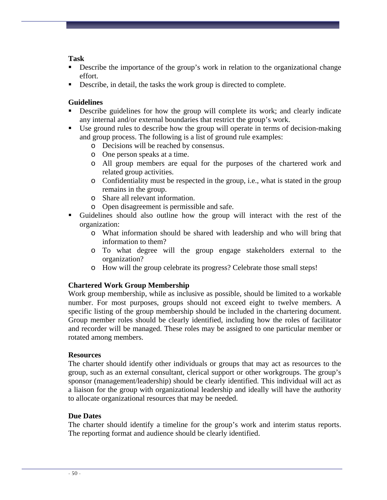### **Task**

- **Describe the importance of the group's work in relation to the organizational change** effort.
- Describe, in detail, the tasks the work group is directed to complete.

# **Guidelines**

- Describe guidelines for how the group will complete its work; and clearly indicate any internal and/or external boundaries that restrict the group's work.
- Use ground rules to describe how the group will operate in terms of decision-making and group process. The following is a list of ground rule examples:
	- o Decisions will be reached by consensus.
	- o One person speaks at a time.
	- o All group members are equal for the purposes of the chartered work and related group activities.
	- o Confidentiality must be respected in the group, i.e., what is stated in the group remains in the group.
	- o Share all relevant information.
	- o Open disagreement is permissible and safe.
- Guidelines should also outline how the group will interact with the rest of the organization:
	- o What information should be shared with leadership and who will bring that information to them?
	- o To what degree will the group engage stakeholders external to the organization?
	- o How will the group celebrate its progress? Celebrate those small steps!

# **Chartered Work Group Membership**

Work group membership, while as inclusive as possible, should be limited to a workable number. For most purposes, groups should not exceed eight to twelve members. A specific listing of the group membership should be included in the chartering document. Group member roles should be clearly identified, including how the roles of facilitator and recorder will be managed. These roles may be assigned to one particular member or rotated among members.

# **Resources**

The charter should identify other individuals or groups that may act as resources to the group, such as an external consultant, clerical support or other workgroups. The group's sponsor (management/leadership) should be clearly identified. This individual will act as a liaison for the group with organizational leadership and ideally will have the authority to allocate organizational resources that may be needed.

# **Due Dates**

The charter should identify a timeline for the group's work and interim status reports. The reporting format and audience should be clearly identified.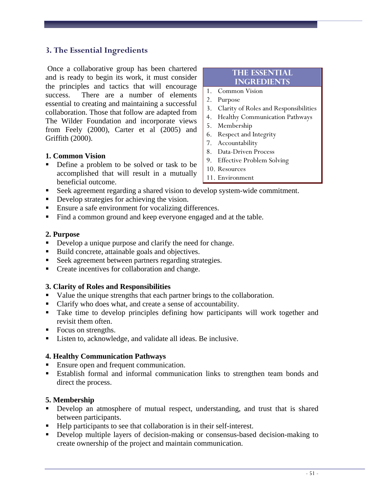# **3. The Essential Ingredients**

Once a collaborative group has been chartered and is ready to begin its work, it must consider the principles and tactics that will encourage success. There are a number of elements essential to creating and maintaining a successful collaboration. Those that follow are adapted from The Wilder Foundation and incorporate views from Feely (2000), Carter et al (2005) and Griffith (2000).

#### **1. Common Vision**

 Define a problem to be solved or task to be accomplished that will result in a mutually beneficial outcome.

#### Seek agreement regarding a shared vision to develop system-wide commitment.

- Develop strategies for achieving the vision.
- Ensure a safe environment for vocalizing differences.
- Find a common ground and keep everyone engaged and at the table.

#### **2. Purpose**

- Develop a unique purpose and clarify the need for change.
- Build concrete, attainable goals and objectives.
- Seek agreement between partners regarding strategies.
- Create incentives for collaboration and change.

#### **3. Clarity of Roles and Responsibilities**

- value the unique strengths that each partner brings to the collaboration.
- Clarify who does what, and create a sense of accountability.
- Take time to develop principles defining how participants will work together and revisit them often.
- Focus on strengths.
- Listen to, acknowledge, and validate all ideas. Be inclusive.

#### **4. Healthy Communication Pathways**

- Ensure open and frequent communication.
- Establish formal and informal communication links to strengthen team bonds and direct the process.

#### **5. Membership**

- Develop an atmosphere of mutual respect, understanding, and trust that is shared between participants.
- Help participants to see that collaboration is in their self-interest.
- Develop multiple layers of decision-making or consensus-based decision-making to create ownership of the project and maintain communication.

#### **The Essential Ingredients**

- 1. Common Vision
- 2. Purpose
- 3. Clarity of Roles and Responsibilities
- 4. Healthy Communication Pathways
- 5. Membership
- 6. Respect and Integrity
- 7. Accountability
- 8. Data-Driven Process
- 9. Effective Problem Solving
- 10. Resources
- 11. Environment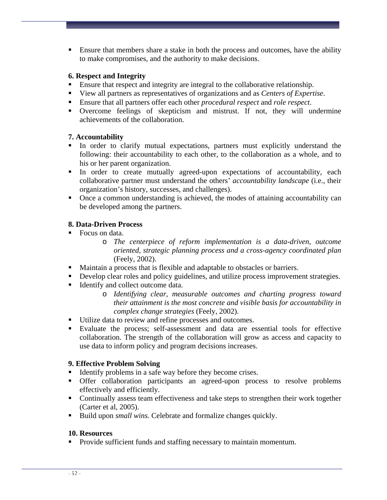Ensure that members share a stake in both the process and outcomes, have the ability to make compromises, and the authority to make decisions.

### **6. Respect and Integrity**

- Ensure that respect and integrity are integral to the collaborative relationship.
- View all partners as representatives of organizations and as *Centers of Expertise*.
- Ensure that all partners offer each other *procedural respect* and *role respect*.
- Overcome feelings of skepticism and mistrust. If not, they will undermine achievements of the collaboration.

# **7. Accountability**

- In order to clarify mutual expectations, partners must explicitly understand the following: their accountability to each other, to the collaboration as a whole, and to his or her parent organization.
- In order to create mutually agreed-upon expectations of accountability, each collaborative partner must understand the others' *accountability landscape* (i.e., their organization's history, successes, and challenges).
- Once a common understanding is achieved, the modes of attaining accountability can be developed among the partners.

# **8. Data-Driven Process**

- Focus on data.
	- o *The centerpiece of reform implementation is a data-driven, outcome oriented, strategic planning process and a cross-agency coordinated plan*  (Feely, 2002).
- Maintain a process that is flexible and adaptable to obstacles or barriers.
- Develop clear roles and policy guidelines, and utilize process improvement strategies.
- Identify and collect outcome data.
	- o *Identifying clear, measurable outcomes and charting progress toward their attainment is the most concrete and visible basis for accountability in complex change strategies* (Feely, 2002).
- Utilize data to review and refine processes and outcomes.
- Evaluate the process; self-assessment and data are essential tools for effective collaboration. The strength of the collaboration will grow as access and capacity to use data to inform policy and program decisions increases.

# **9. Effective Problem Solving**

- Identify problems in a safe way before they become crises.
- Offer collaboration participants an agreed-upon process to resolve problems effectively and efficiently.
- Continually assess team effectiveness and take steps to strengthen their work together (Carter et al, 2005).
- Build upon *small wins*. Celebrate and formalize changes quickly.

# **10. Resources**

**Provide sufficient funds and staffing necessary to maintain momentum.**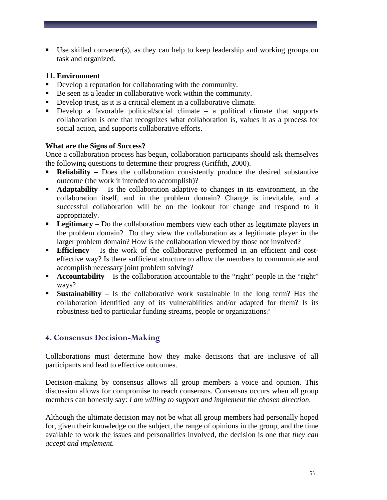Use skilled convener(s), as they can help to keep leadership and working groups on task and organized.

# **11. Environment**

- Develop a reputation for collaborating with the community.
- Be seen as a leader in collaborative work within the community.
- Develop trust, as it is a critical element in a collaborative climate.
- Develop a favorable political/social climate a political climate that supports collaboration is one that recognizes what collaboration is, values it as a process for social action, and supports collaborative efforts.

# **What are the Signs of Success?**

Once a collaboration process has begun, collaboration participants should ask themselves the following questions to determine their progress (Griffith, 2000).

- **Reliability** Does the collaboration consistently produce the desired substantive outcome (the work it intended to accomplish)?
- **Adaptability**  Is the collaboration adaptive to changes in its environment, in the collaboration itself, and in the problem domain? Change is inevitable, and a successful collaboration will be on the lookout for change and respond to it appropriately.
- **Legitimacy** Do the collaboration members view each other as legitimate players in the problem domain? Do they view the collaboration as a legitimate player in the larger problem domain? How is the collaboration viewed by those not involved?
- **Efficiency**  Is the work of the collaborative performed in an efficient and costeffective way? Is there sufficient structure to allow the members to communicate and accomplish necessary joint problem solving?
- **Accountability** Is the collaboration accountable to the "right" people in the "right" ways?
- **Sustainability**  Is the collaborative work sustainable in the long term? Has the collaboration identified any of its vulnerabilities and/or adapted for them? Is its robustness tied to particular funding streams, people or organizations?

# **4. Consensus Decision-Making**

Collaborations must determine how they make decisions that are inclusive of all participants and lead to effective outcomes.

Decision-making by consensus allows all group members a voice and opinion. This discussion allows for compromise to reach consensus. Consensus occurs when all group members can honestly say: *I am willing to support and implement the chosen direction*.

Although the ultimate decision may not be what all group members had personally hoped for, given their knowledge on the subject, the range of opinions in the group, and the time available to work the issues and personalities involved, the decision is one that *they can accept and implement.*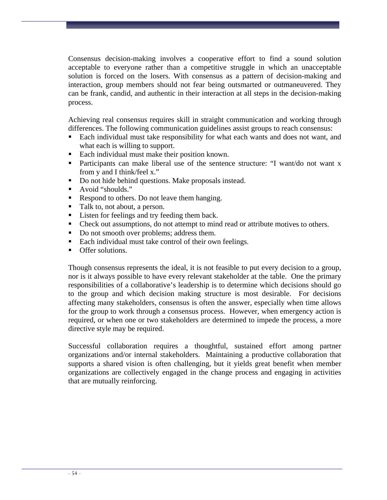Consensus decision-making involves a cooperative effort to find a sound solution acceptable to everyone rather than a competitive struggle in which an unacceptable solution is forced on the losers. With consensus as a pattern of decision-making and interaction, group members should not fear being outsmarted or outmaneuvered. They can be frank, candid, and authentic in their interaction at all steps in the decision-making process.

Achieving real consensus requires skill in straight communication and working through differences. The following communication guidelines assist groups to reach consensus:

- Each individual must take responsibility for what each wants and does not want, and what each is willing to support.
- Each individual must make their position known.
- Participants can make liberal use of the sentence structure: "I want/do not want x from y and I think/feel x."
- Do not hide behind questions. Make proposals instead.
- Avoid "shoulds."
- Respond to others. Do not leave them hanging.
- Talk to, not about, a person.
- Listen for feelings and try feeding them back.
- Check out assumptions, do not attempt to mind read or attribute motives to others.
- Do not smooth over problems; address them.
- Each individual must take control of their own feelings.
- **Offer solutions.**

Though consensus represents the ideal, it is not feasible to put every decision to a group, nor is it always possible to have every relevant stakeholder at the table. One the primary responsibilities of a collaborative's leadership is to determine which decisions should go to the group and which decision making structure is most desirable. For decisions affecting many stakeholders, consensus is often the answer, especially when time allows for the group to work through a consensus process. However, when emergency action is required, or when one or two stakeholders are determined to impede the process, a more directive style may be required.

Successful collaboration requires a thoughtful, sustained effort among partner organizations and/or internal stakeholders. Maintaining a productive collaboration that supports a shared vision is often challenging, but it yields great benefit when member organizations are collectively engaged in the change process and engaging in activities that are mutually reinforcing.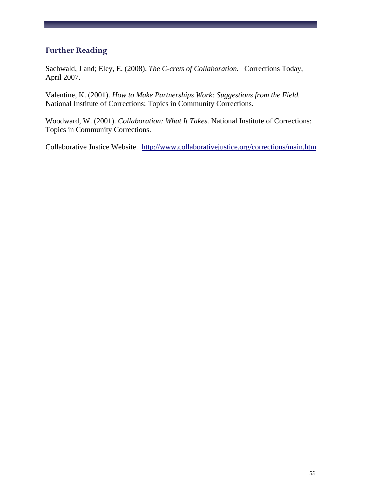# **Further Reading**

Sachwald, J and; Eley, E. (2008). The C-crets of Collaboration. Corrections Today, April 2007.

Valentine, K. (2001). *How to Make Partnerships Work: Suggestions from the Field.*  National Institute of Corrections: Topics in Community Corrections.

Woodward, W. (2001). *Collaboration: What It Takes.* National Institute of Corrections: Topics in Community Corrections.

Collaborative Justice Website. <http://www.collaborativejustice.org/corrections/main.htm>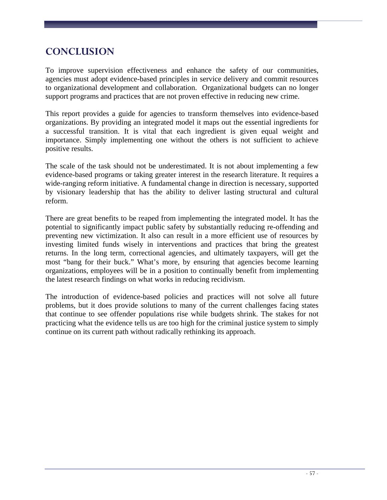# **CONCLUSION**

To improve supervision effectiveness and enhance the safety of our communities, agencies must adopt evidence-based principles in service delivery and commit resources to organizational development and collaboration. Organizational budgets can no longer support programs and practices that are not proven effective in reducing new crime.

This report provides a guide for agencies to transform themselves into evidence-based organizations. By providing an integrated model it maps out the essential ingredients for a successful transition. It is vital that each ingredient is given equal weight and importance. Simply implementing one without the others is not sufficient to achieve positive results.

The scale of the task should not be underestimated. It is not about implementing a few evidence-based programs or taking greater interest in the research literature. It requires a wide-ranging reform initiative. A fundamental change in direction is necessary, supported by visionary leadership that has the ability to deliver lasting structural and cultural reform.

There are great benefits to be reaped from implementing the integrated model. It has the potential to significantly impact public safety by substantially reducing re-offending and preventing new victimization. It also can result in a more efficient use of resources by investing limited funds wisely in interventions and practices that bring the greatest returns. In the long term, correctional agencies, and ultimately taxpayers, will get the most "bang for their buck." What's more, by ensuring that agencies become learning organizations, employees will be in a position to continually benefit from implementing the latest research findings on what works in reducing recidivism.

The introduction of evidence-based policies and practices will not solve all future problems, but it does provide solutions to many of the current challenges facing states that continue to see offender populations rise while budgets shrink. The stakes for not practicing what the evidence tells us are too high for the criminal justice system to simply continue on its current path without radically rethinking its approach.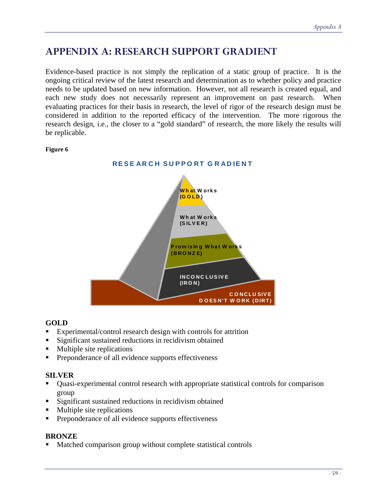# **APPENDIX A: RESEARCH SUPPORT GRADIENT**

Evidence-based practice is not simply the replication of a static group of practice. It is the ongoing critical review of the latest research and determination as to whether policy and practice needs to be updated based on new information. However, not all research is created equal, and each new study does not necessarily represent an improvement on past research. When evaluating practices for their basis in research, the level of rigor of the research design must be considered in addition to the reported efficacy of the intervention. The more rigorous the research design, i.e., the closer to a "gold standard" of research, the more likely the results will be replicable.

#### **Figure 6**



# **GOLD**

- Experimental/control research design with controls for attrition
- Significant sustained reductions in recidivism obtained
- **Multiple site replications**
- **Preponderance of all evidence supports effectiveness**

## **SILVER**

- Quasi-experimental control research with appropriate statistical controls for comparison group
- **Significant sustained reductions in recidivism obtained**
- **Multiple site replications**
- **Preponderance of all evidence supports effectiveness**

## **BRONZE**

Matched comparison group without complete statistical controls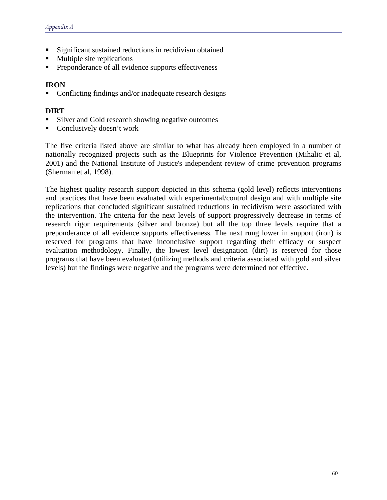- Significant sustained reductions in recidivism obtained
- Multiple site replications
- Preponderance of all evidence supports effectiveness

#### **IRON**

Conflicting findings and/or inadequate research designs

#### **DIRT**

- Silver and Gold research showing negative outcomes
- Conclusively doesn't work

The five criteria listed above are similar to what has already been employed in a number of nationally recognized projects such as the Blueprints for Violence Prevention (Mihalic et al, 2001) and the National Institute of Justice's independent review of crime prevention programs (Sherman et al, 1998).

The highest quality research support depicted in this schema (gold level) reflects interventions and practices that have been evaluated with experimental/control design and with multiple site replications that concluded significant sustained reductions in recidivism were associated with the intervention. The criteria for the next levels of support progressively decrease in terms of research rigor requirements (silver and bronze) but all the top three levels require that a preponderance of all evidence supports effectiveness. The next rung lower in support (iron) is reserved for programs that have inconclusive support regarding their efficacy or suspect evaluation methodology. Finally, the lowest level designation (dirt) is reserved for those programs that have been evaluated (utilizing methods and criteria associated with gold and silver levels) but the findings were negative and the programs were determined not effective.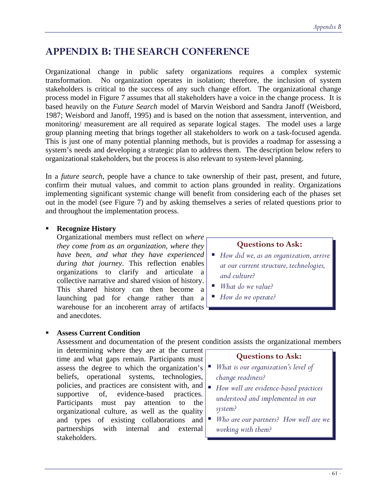# **APPENDIX B: THE SEARCH CONFERENCE**

Organizational change in public safety organizations requires a complex systemic transformation. No organization operates in isolation; therefore, the inclusion of system stakeholders is critical to the success of any such change effort. The organizational change process model in Figure 7 assumes that all stakeholders have a voice in the change process. It is based heavily on the *Future Search* model of Marvin Weisbord and Sandra Janoff (Weisbord, 1987; Weisbord and Janoff, 1995) and is based on the notion that assessment, intervention, and monitoring/ measurement are all required as separate logical stages. The model uses a large group planning meeting that brings together all stakeholders to work on a task-focused agenda. This is just one of many potential planning methods, but is provides a roadmap for assessing a system's needs and developing a strategic plan to address them. The description below refers to organizational stakeholders, but the process is also relevant to system-level planning.

In a *future search*, people have a chance to take ownership of their past, present, and future, confirm their mutual values, and commit to action plans grounded in reality*.* Organizations implementing significant systemic change will benefit from considering each of the phases set out in the model (see Figure 7) and by asking themselves a series of related questions prior to and throughout the implementation process.

### **Recognize History**

Organizational members must reflect on *where they come from as an organization, where they have been, and what they have experienced during that journey*. This reflection enables organizations to clarify and articulate a collective narrative and shared vision of history. This shared history can then become a launching pad for change rather than a warehouse for an incoherent array of artifacts and anecdotes.

### **Questions to Ask:**

- *How did we, as an organization, arrive at our current structure, technologies, and culture?*
- *What do we value?*
- *How do we operate?*

#### **Assess Current Condition**

Assessment and documentation of the present condition assists the organizational members

in determining where they are at the current time and what gaps remain. Participants must assess the degree to which the organization's *What is our organization's level of*  beliefs, operational systems, technologies, policies, and practices are consistent with, and policies, and practices are consistent with, and  $\mathbf{H}_{ow}$  well are evidence-based practices supportive of, evidence-based practices. Participants must pay attention to the organizational culture, as well as the quality and types of existing collaborations and partnerships with internal and external stakeholders.

## **Questions to Ask:**

- *change readiness?*
- *understood and implemented in our system?*
- *Who are our partners? How well are we working with them?*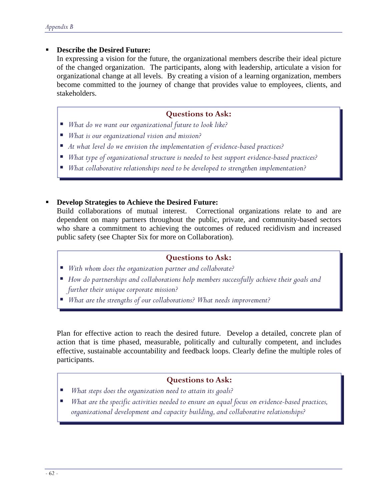### **Describe the Desired Future:**

In expressing a vision for the future, the organizational members describe their ideal picture of the changed organization. The participants, along with leadership, articulate a vision for organizational change at all levels. By creating a vision of a learning organization, members become committed to the journey of change that provides value to employees, clients, and stakeholders.

#### **Questions to Ask:**

- *What do we want our organizational future to look like?*
- *What is our organizational vision and mission?*
- *At what level do we envision the implementation of evidence-based practices?*
- *What type of organizational structure is needed to best support evidence-based practices?*
- *What collaborative relationships need to be developed to strengthen implementation?*

#### **Develop Strategies to Achieve the Desired Future:**

Build collaborations of mutual interest. Correctional organizations relate to and are dependent on many partners throughout the public, private, and community-based sectors who share a commitment to achieving the outcomes of reduced recidivism and increased public safety (see Chapter Six for more on Collaboration).

#### **Questions to Ask:**

- *With whom does the organization partner and collaborate?*
- *How do partnerships and collaborations help members successfully achieve their goals and further their unique corporate mission?*
- *What are the strengths of our collaborations? What needs improvement?*

Plan for effective action to reach the desired future. Develop a detailed, concrete plan of action that is time phased, measurable, politically and culturally competent, and includes effective, sustainable accountability and feedback loops. Clearly define the multiple roles of participants.

#### **Questions to Ask:**

- *What steps does the organization need to attain its goals?*
- *What are the specific activities needed to ensure an equal focus on evidence-based practices, organizational development and capacity building, and collaborative relationships?*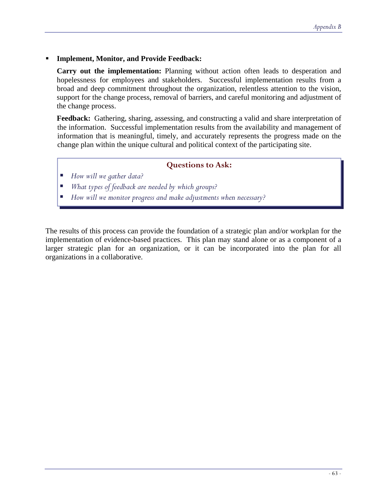#### **Implement, Monitor, and Provide Feedback:**

**Carry out the implementation:** Planning without action often leads to desperation and hopelessness for employees and stakeholders.Successful implementation results from a broad and deep commitment throughout the organization, relentless attention to the vision, support for the change process, removal of barriers, and careful monitoring and adjustment of the change process.

**Feedback:** Gathering, sharing, assessing, and constructing a valid and share interpretation of the information. Successful implementation results from the availability and management of information that is meaningful, timely, and accurately represents the progress made on the change plan within the unique cultural and political context of the participating site.

### **Questions to Ask:**

- *How will we gather data?*
- *What types of feedback are needed by which groups?*
- *How will we monitor progress and make adjustments when necessary?*

The results of this process can provide the foundation of a strategic plan and/or workplan for the implementation of evidence-based practices. This plan may stand alone or as a component of a larger strategic plan for an organization, or it can be incorporated into the plan for all organizations in a collaborative.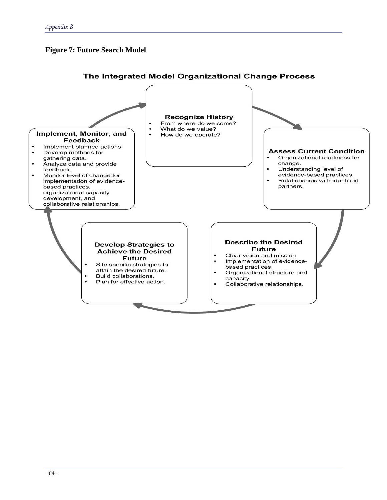# **Figure 7: Future Search Model**

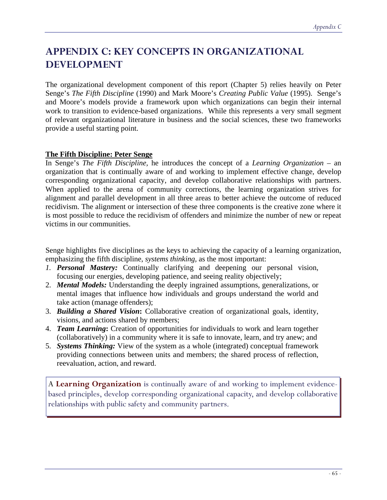# **APPENDIX C: KEY CONCEPTS IN ORGANIZATIONAL DEVELOPMENT**

The organizational development component of this report (Chapter 5) relies heavily on Peter Senge's *The Fifth Discipline* (1990) and Mark Moore's *Creating Public Value* (1995). Senge's and Moore's models provide a framework upon which organizations can begin their internal work to transition to evidence-based organizations. While this represents a very small segment of relevant organizational literature in business and the social sciences, these two frameworks provide a useful starting point.

### **The Fifth Discipline: Peter Senge**

In Senge's *The Fifth Discipline,* he introduces the concept of a *Learning Organization* – an organization that is continually aware of and working to implement effective change, develop corresponding organizational capacity, and develop collaborative relationships with partners. When applied to the arena of community corrections, the learning organization strives for alignment and parallel development in all three areas to better achieve the outcome of reduced recidivism. The alignment or intersection of these three components is the creative zone where it is most possible to reduce the recidivism of offenders and minimize the number of new or repeat victims in our communities.

Senge highlights five disciplines as the keys to achieving the capacity of a learning organization, emphasizing the fifth discipline, *systems thinking,* as the most important:

- *1. Personal Mastery:* Continually clarifying and deepening our personal vision, focusing our energies, developing patience, and seeing reality objectively;
- 2. *Mental Models:* Understanding the deeply ingrained assumptions, generalizations, or mental images that influence how individuals and groups understand the world and take action (manage offenders);
- 3. *Building a Shared Vision***:** Collaborative creation of organizational goals, identity, visions, and actions shared by members;
- 4. *Team Learning***:** Creation of opportunities for individuals to work and learn together (collaboratively) in a community where it is safe to innovate, learn, and try anew; and
- 5. *Systems Thinking:* View of the system as a whole (integrated) conceptual framework providing connections between units and members; the shared process of reflection, reevaluation, action, and reward.

A **Learning Organization** is continually aware of and working to implement evidencebased principles, develop corresponding organizational capacity, and develop collaborative relationships with public safety and community partners.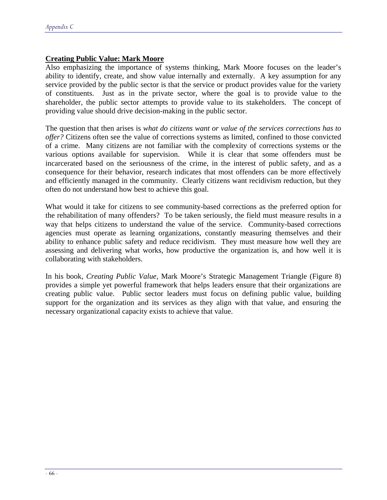## **Creating Public Value: Mark Moore**

Also emphasizing the importance of systems thinking, Mark Moore focuses on the leader's ability to identify, create, and show value internally and externally. A key assumption for any service provided by the public sector is that the service or product provides value for the variety of constituents. Just as in the private sector, where the goal is to provide value to the shareholder, the public sector attempts to provide value to its stakeholders. The concept of providing value should drive decision-making in the public sector.

The question that then arises is *what do citizens want or value of the services corrections has to offer?* Citizens often see the value of corrections systems as limited, confined to those convicted of a crime. Many citizens are not familiar with the complexity of corrections systems or the various options available for supervision. While it is clear that some offenders must be incarcerated based on the seriousness of the crime, in the interest of public safety, and as a consequence for their behavior, research indicates that most offenders can be more effectively and efficiently managed in the community. Clearly citizens want recidivism reduction, but they often do not understand how best to achieve this goal.

What would it take for citizens to see community-based corrections as the preferred option for the rehabilitation of many offenders? To be taken seriously, the field must measure results in a way that helps citizens to understand the value of the service. Community-based corrections agencies must operate as learning organizations, constantly measuring themselves and their ability to enhance public safety and reduce recidivism. They must measure how well they are assessing and delivering what works, how productive the organization is, and how well it is collaborating with stakeholders.

In his book, *Creating Public Value,* Mark Moore's Strategic Management Triangle (Figure 8) provides a simple yet powerful framework that helps leaders ensure that their organizations are creating public value. Public sector leaders must focus on defining public value, building support for the organization and its services as they align with that value, and ensuring the necessary organizational capacity exists to achieve that value.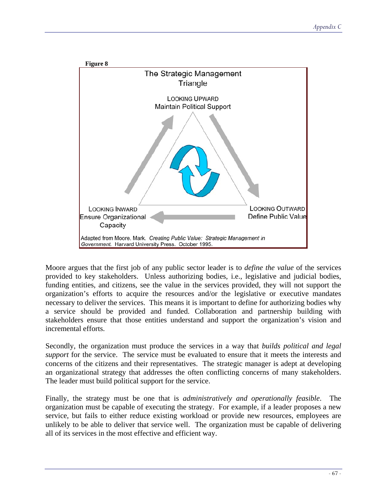

Moore argues that the first job of any public sector leader is to *define the value* of the services provided to key stakeholders. Unless authorizing bodies, i.e., legislative and judicial bodies, funding entities, and citizens, see the value in the services provided, they will not support the organization's efforts to acquire the resources and/or the legislative or executive mandates necessary to deliver the services. This means it is important to define for authorizing bodies why a service should be provided and funded. Collaboration and partnership building with stakeholders ensure that those entities understand and support the organization's vision and incremental efforts.

Secondly, the organization must produce the services in a way that *builds political and legal support* for the service. The service must be evaluated to ensure that it meets the interests and concerns of the citizens and their representatives. The strategic manager is adept at developing an organizational strategy that addresses the often conflicting concerns of many stakeholders. The leader must build political support for the service.

Finally, the strategy must be one that is *administratively and operationally feasible*. The organization must be capable of executing the strategy. For example, if a leader proposes a new service, but fails to either reduce existing workload or provide new resources, employees are unlikely to be able to deliver that service well. The organization must be capable of delivering all of its services in the most effective and efficient way.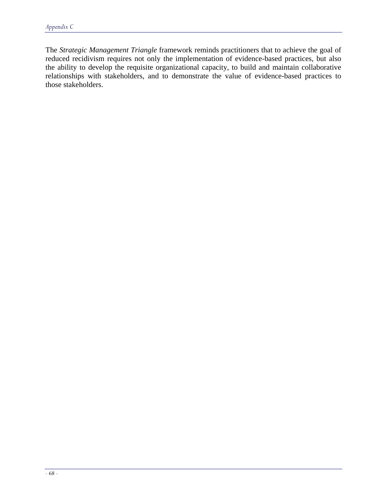The *Strategic Management Triangle* framework reminds practitioners that to achieve the goal of reduced recidivism requires not only the implementation of evidence-based practices, but also the ability to develop the requisite organizational capacity, to build and maintain collaborative relationships with stakeholders, and to demonstrate the value of evidence-based practices to those stakeholders.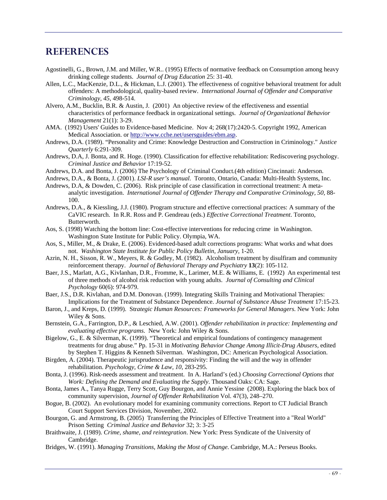# **REFERENCES**

- Agostinelli, G., Brown, J.M. and Miller, W.R.. (1995) Effects of normative feedback on Consumption among heavy drinking college students. *Journal of Drug Education* 25: 31-40.
- Allen, L.C., MacKenzie, D.L., & Hickman, L.J. (2001). The effectiveness of cognitive behavioral treatment for adult offenders: A methodological, quality-based review. *International Journal of Offender and Comparative Criminology, 45,* 498-514.
- Alvero, A.M., Bucklin, B.R. & Austin, J. (2001) An objective review of the effectiveness and essential characteristics of performance feedback in organizational settings. *Journal of Organizational Behavior Management* 21(1): 3-29.
- AMA. (1992) Users' Guides to Evidence-based Medicine. Nov 4; 268(17):2420-5. Copyright 1992, American Medical Association. or [http://www.cche.net/usersguides/ebm.asp.](http://www.cche.net/usersguides/ebm.asp)
- Andrews, D.A. (1989). "Personality and Crime: Knowledge Destruction and Construction in Criminology." *Justice Quarterly* 6:291-309.
- Andrews, D.A, J. Bonta, and R. Hoge. (1990). Classification for effective rehabilitation: Rediscovering psychology. *Criminal Justice and Behavior* 17:19-52.
- Andrews, D.A. and Bonta, J. (2006) The Psychology of Criminal Conduct.(4th edition) Cincinnati: Anderson.
- Andrews, D.A., & Bonta, J. (2001). *LSI-R user's manual*. Toronto, Ontario, Canada: Multi-Health Systems, Inc.
- Andrews, D.A, & Dowden, C. (2006). Risk principle of case classification in correctional treatment: A metaanalytic investigation. *International Journal of Offender Therapy and Comparative Criminology, 50,* 88- 100.
- Andrews, D.A., & Kiessling, J.J. (1980). Program structure and effective correctional practices: A summary of the CaVIC research. In R.R. Ross and P. Gendreau (eds.) *Effective Correctional Treatment*. Toronto, Butterworth.
- Aos, S. (1998) Watching the bottom line: Cost-effective interventions for reducing crime in Washington. Washington State Institute for Public Policy. Olympia, WA.
- Aos, S., Miller, M., & Drake, E. (2006). Evidenced-based adult corrections programs: What works and what does not. *Washington State Institute for Public Policy Bulletin, January,* 1-20.
- Azrin, N. H., Sisson, R. W., Meyers, R. & Godley, M. (1982). Alcoholism treatment by disulfiram and community reinforcement therapy. *Journal of Behavioral Therapy and Psychiatry* **13**(2): 105-112.
- Baer, J.S., Marlatt, A.G., Kivlanhan, D.R., Fromme, K., Larimer, M.E. & Williams, E. (1992) An experimental test of three methods of alcohol risk reduction with young adults. *Journal of Consulting and Clinical Psychology* 60(6): 974-979.
- Baer, J.S., D.R. Kivlahan, and D.M. Donovan. (1999). Integrating Skills Training and Motivational Therapies: Implications for the Treatment of Substance Dependence. *Journal of Substance Abuse Treatment* 17:15-23.
- Baron, J., and Kreps, D. (1999). Str*ategic Human Resources: Frameworks for General Managers.* New York: John Wiley & Sons.
- Bernstein, G.A., Farrington, D.P., & Leschied, A.W. (2001). *Offender rehabilitation in practice: Implementing and evaluating effective programs*. New York: John Wiley & Sons.
- Bigelow, G., E. & Silverman, K. (1999). "Theoretical and empirical foundations of contingency management treatments for drug abuse." Pp. 15-31 in *Motivating Behavior Change Among Illicit-Drug Abusers,* edited by Stephen T. Higgins & Kenneth Silverman. Washington, DC: American Psychological Association.
- Birgden, A. (2004). Therapeutic jurisprudence and responsivity: Finding the will and the way in offender rehabilitation. *Psychology, Crime & Law, 10,* 283-295.
- Bonta, J. (1996). Risk-needs assessment and treatment. In A. Harland's (ed.) *Choosing Correctional Options that Work: Defining the Demand and Evaluating the Supply*. Thousand Oaks: CA: Sage.
- Bonta, James A., Tanya Rugge, Terry Scott, Guy Bourgon, and Annie Yessine (2008). Exploring the black box of community supervision, *Journal of Offender Rehabilitation* Vol. 47(3), 248–270.
- Bogue, B. (2002). An evolutionary model for examining community corrections. Report to CT Judicial Branch Court Support Services Division, November, 2002.
- Bourgon, G. and Armstrong, B. (2005) Transferring the Principles of Effective Treatment into a "Real World" Prison Setting *Criminal Justice and Behavior* 32; 3: 3-25
- Braithwaite, J. (1989). *Crime, shame, and reintegration*. New York: Press Syndicate of the University of Cambridge.
- Bridges, W. (1991). *Managing Transitions, Making the Most of Change*. Cambridge, M.A.: Perseus Books.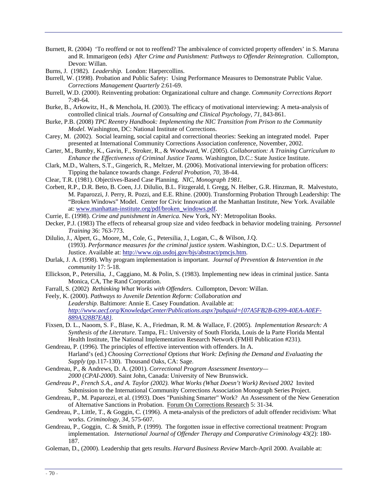Burnett, R. (2004) 'To reoffend or not to reoffend? The ambivalence of convicted property offenders' in S. Maruna and R. Immarigeon (eds) *After Crime and Punishment: Pathways to Offender Reintegration*. Cullompton, Devon: Willan.

Burns, J. (1982). *Leadership.* London: Harpercollins.

- Burrell, W. (1998). Probation and Public Safety: Using Performance Measures to Demonstrate Public Value. *Corrections Management Quarterly* 2:61-69.
- Burrell, W.D. (2000). Reinventing probation: Organizational culture and change. *Community Corrections Report* 7:49-64.
- Burke, B., Arkowitz, H., & Menchola, H. (2003). The efficacy of motivational interviewing: A meta-analysis of controlled clinical trials. *Journal of Consulting and Clinical Psychology, 71,* 843-861.
- Burke, P.B. (2008) *TPC Reentry Handbook: Implementing the NIC Transition from Prison to the Community Model.* Washington, DC: National Institute of Corrections.
- Carey, M. (2002). Social learning, social capital and correctional theories: Seeking an integrated model. Paper presented at International Community Corrections Association conference, November, 2002.
- Carter, M., Bumby, K., Gavin, F., Stroker, R., & Woodward, W. (2005). *Collaboration: A Training Curriculum to Enhance the Effectiveness of Criminal Justice Teams.* Washington, D.C.: State Justice Institute.
- Clark, M.D., Walters, S.T., Gingerich, R., Meltzer, M. (2006). Motivational interviewing for probation officers: Tipping the balance towards change. *Federal Probation, 70,* 38-44.
- Clear, T.R. (1981). Objectives-Based Case Planning. *NIC, Monograph 1981*.
- Corbett, R.P., D.R. Beto, B. Coen, J.J. DiIulio, B.L. Fitzgerald, I. Gregg, N. Helber, G.R. Hinzman, R. Malvestuto, M. Paparozzi, J. Perry, R. Pozzi, and E.E. Rhine. (2000). Transforming Probation Through Leadership: The "Broken Windows" Model. Center for Civic Innovation at the Manhattan Institute, New York. Available at: [www.manhattan-institute.org/pdf/broken\\_windows.pdf](http://www.manhattan-institute.org/pdf/broken_windows.pdf).
- Currie, E. (1998). *Crime and punishment in America.* New York, NY: Metropolitan Books.
- Decker, P.J. (1983) The effects of rehearsal group size and video feedback in behavior modeling training. *Personnel Training* 36: 763-773.
- Dilulio, J., Alpert, G., Moore, M., Cole, G., Petersilia, J., Logan, C., & Wilson, J.Q. (1993). *Performance measures for the criminal justice system*. Washington, D.C.: U.S. Department of Justice. Available at: [http://www.ojp.usdoj.gov/bjs/abstract/pmcjs.htm.](http://www.ojp.usdoj.gov/bjs/abstract/pmcjs.htm)
- Durlak, J. A. (1998). Why program implementation is important. *Journal of Prevention & Intervention in the community* 17: 5-18.
- Ellickson, P., Petersilia, J., Caggiano, M. & Polin, S. (1983). Implementing new ideas in criminal justice. Santa Monica, CA, The Rand Corporation.
- Farrall, S. (2002) *Rethinking What Works with Offenders*. Cullompton, Devon: Willan.
- Feely, K. (2000). *Pathways to Juvenile Detention Reform: Collaboration and Leadership.* Baltimore: Annie E. Casey Foundation. Available at: *[http://www.aecf.org/KnowledgeCenter/Publications.aspx?pubguid={07A5FB2B-6399-40EA-A0EF-](http://www.aecf.org/KnowledgeCenter/Publications.aspx?pubguid=%7B07A5FB2B-6399-40EA-A0EF-889A328B7EA8%7D)[889A328B7EA8}.](http://www.aecf.org/KnowledgeCenter/Publications.aspx?pubguid=%7B07A5FB2B-6399-40EA-A0EF-889A328B7EA8%7D)*
- Fixsen, D. L., Naoom, S. F., Blase, K. A., Friedman, R. M. & Wallace, F. (2005). *Implementation Research: A Synthesis of the Literature*. Tampa, FL: University of South Florida, Louis de la Parte Florida Mental Health Institute, The National Implementation Research Network (FMHI Publication #231).
- Gendreau, P. (1996). The principles of effective intervention with offenders. In A. Harland's (ed.) *Choosing Correctional Options that Work: Defining the Demand and Evaluating the Supply* (pp.117-130). Thousand Oaks, CA: Sage.
- Gendreau, P., & Andrews, D. A. (2001). *Correctional Program Assessment Inventory— 2000* (*CPAI-2000*). Saint John, Canada: University of New Brunswick.
- *Gendreau P., French S.A., and A. Taylor (2002). What Works (What Doesn't Work) Revised 2002* Invited Submission to the International Community Corrections Association Monograph Series Project.
- Gendreau, P., M. Paparozzi, et al. (1993). Does "Punishing Smarter" Work? An Assessment of the New Generation of Alternative Sanctions in Probation. Forum On Corrections Research 5: 31-34.
- Gendreau, P., Little, T., & Goggin, C. (1996). A meta-analysis of the predictors of adult offender recidivism: What works. *Criminology, 34,* 575-607.
- Gendreau, P., Goggin, C. & Smith, P. (1999). The forgotten issue in effective correctional treatment: Program implementation. *International Journal of Offender Therapy and Comparative Criminology* 43(2): 180- 187.
- Goleman, D., (2000). Leadership that gets results. *Harvard Business Review* March-April 2000. Available at: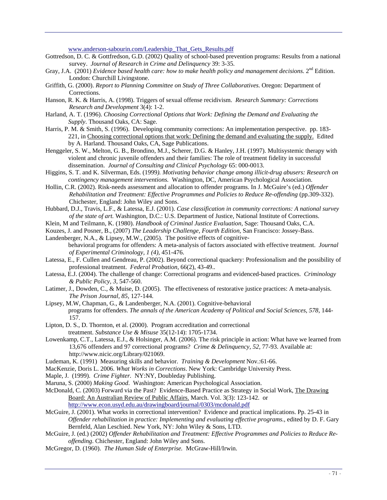[www.anderson-sabourin.com/Leadership\\_That\\_Gets\\_Results.pdf](http://www.anderson-sabourin.com/Leadership_That_Gets_Results.pdf) 

- Gottredson, D. C. & Gottfredson, G.D. (2002) Quality of school-based prevention programs: Results from a national survey. *Journal of Research in Crime and Delinquency* 39: 3-35.
- Gray, J.A. (2001) *Evidence based health care: how to make health policy and management decisions*. 2<sup>nd</sup> Edition. London: Churchill Livingstone.
- Griffith, G. (2000). *Report to Planning Committee on Study of Three Collaboratives.* Oregon: Department of Corrections.
- Hanson, R. K. & Harris, A. (1998). Triggers of sexual offense recidivism. *Research Summary: Corrections Research and Development* 3(4): 1-2.
- Harland, A. T. (1996). *Choosing Correctional Options that Work: Defining the Demand and Evaluating the Supply*. Thousand Oaks, CA: Sage.
- Harris, P. M. & Smith, S. (1996). Developing community corrections: An implementation perspective. pp. 183- 221, in Choosing correctional options that work: Defining the demand and evaluating the supply. Edited by A. Harland. Thousand Oaks, CA, Sage Publications.
- Henggeler, S. W., Melton, G. B., Brondino, M.J., Scherer, D.G. & Hanley, J.H. (1997). Multisystemic therapy with violent and chronic juvenile offenders and their families: The role of treatment fidelity in successful dissemination. *Journal of Consulting and Clinical Psychology* 65: 000-0013.
- Higgins, S. T. and K. Silverman, Eds. (1999*). Motivating behavior change among illicit-drug abusers: Research on contingency management interventions.* Washington, DC, American Psychological Association.
- Hollin, C.R. (2002). Risk-needs assessment and allocation to offender programs. In J. McGuire's (ed.) *Offender Rehabilitation and Treatment: Effective Programmes and Policies to Reduce Re-offending* (pp.309-332). Chichester, England: John Wiley and Sons.
- Hubbard, D.J., Travis, L.F., & Latessa, E.J. (2001). *Case classification in community corrections: A national survey of the state of art.* Washington, D.C.: U.S. Department of Justice, National Institute of Corrections.
- Klein, M and Teilmann, K. (1980). *Handbook of Criminal Justice Evaluation*, Sage: Thousand Oaks, C.A.
- Kouzes, J. and Posner, B., (2007) *The Leadership Challenge, Fourth Edition,* San Francisco: Jossey-Bass. Landenberger, N.A., & Lipsey, M.W., (2005). The positive effects of cognitive-
- behavioral programs for offenders: A meta-analysis of factors associated with effective treatment. *Journal of Experimental Criminology, 1 (4),* 451-476.
- Latessa, E., F. Cullen and Gendreau, P. (2002). Beyond correctional quackery: Professionalism and the possibility of professional treatment. *Federal Probation*, 66(2), 43-49..
- Latessa, E.J. (2004). The challenge of change: Correctional programs and evidenced-based practices. *Criminology & Public Policy, 3,* 547-560.
- Latimer, J., Dowden, C., & Muise, D. (2005). The effectiveness of restorative justice practices: A meta-analysis. *The Prison Journal, 85,* 127-144.
- Lipsey, M.W, Chapman, G., & Landenberger, N.A. (2001). Cognitive-behavioral programs for offenders. *The annals of the American Academy of Political and Social Sciences, 578, 144-*157.
- Lipton, D. S., D. Thornton, et al. (2000). Program accreditation and correctional treatment. *Substance Use & Misuse* 35(12-14): 1705-1734.
- Lowenkamp, C.T., Latessa, E.J., & Holsinger, A.M. (2006). The risk principle in action: What have we learned from 13,676 offenders and 97 correctional programs? *Crime & Delinquency, 52,* 77-93. Available at: http://www.nicic.org/Library/021069.
- Ludeman, K. (1991) Measuring skills and behavior. *Training & Development* Nov.:61-66.
- MacKenzie, Doris L. 2006. *What Works in Corrections*. New York: Cambridge University Press.
- Maple, J. (1999). *Crime Fighter.* NY:NY, Doubleday Publishing.
- Maruna, S. (2000) *Making Good*. Washington: American Psychological Association.
- McDonald, C. (2003) Forward via the Past? Evidence-Based Practice as Strategy in Social Work, The Drawing Board: An Australian Review of Public Affairs. March. Vol. 3(3): 123-142. or <http://www.econ.usyd.edu.au/drawingboard/journal/0303/mcdonald.pdf>
- McGuire, J. (2001). What works in correctional intervention? Evidence and practical implications. Pp. 25-43 in *Offender rehabilitation in practice: Implementing and evaluating effective programs.*, edited by D. F. Gary Bernfeld, Alan Leschied. New York, NY: John Wiley & Sons, LTD.
- McGuire, J. (ed.) (2002) *Offender Rehabilitation and Treatment: Effective Programmes and Policies to Reduce Reoffending*. Chichester, England: John Wiley and Sons.
- McGregor, D. (1960). *The Human Side of Enterprise.* McGraw-Hill/Irwin.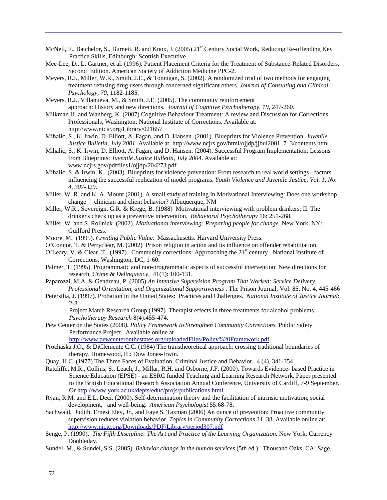- McNeil, F., Batchelor, S., Burnett, R. and Knox, J. (2005) 21<sup>st</sup> Century Social Work, Reducing Re-offending Key Practice Skills, Edinburgh: Scottish Executive
- Mee-Lee, D., L. Gartner, et al. (1996). Patient Placement Criteria for the Treatment of Substance-Related Disorders, Second Edition. American Society of Addiction Medicine PPC-2.
- Meyers, R.J., Miller, W.R., Smith, J.E., & Tonnigan, S. (2002). A randomized trial of two methods for engaging treatment-refusing drug users through concerned significant others. *Journal of Consulting and Clinical Psychology, 70,* 1182-1185.
- Meyers, R.J., Villanueva, M., & Smith, J.E. (2005). The community reinforcement approach: History and new directions. *Journal of Cognitive Psychotherapy, 19,* 247-260.
- Milkman H. and Wanberg, K. (2007) Cognitive Behaviour Treatment: A review and Discussion for Corrections Professionals, Washington: National Institute of Corrections. Available at: http://www.nicic.org/Library/021657
- Mihalic, S., K. Irwin, D. Elliott, A. Fagan, and D. Hansen. (2001). Blueprints for Violence Prevention. *Juvenile Justice Bulletin*, *July 2001*. Available at: http://www.ncjrs.gov/html/ojjdp/jjbul2001\_7\_3/contents.html
- Mihalic, S., K. Irwin, D. Elliott, A. Fagan, and D. Hansen. (2004). Successful Program Implementation: Lessons from Blueprints: *Juvenile Justice Bulletin*, *July 2004*. Available at: www.ncjrs.gov/pdffiles1/ojjdp/204273.pdf
- Mihalic, S. & Irwin, K. (2003). Blueprints for violence prevention: From research to real world settings factors influencing the successful replication of model programs. *Youth Violence and Juvenile Justice, Vol. 1, No. 4, 307-329*.
- Miller, W. R. and K. A. Mount (2001). A small study of training in Motivational Interviewing: Does one workshop change clinician and client behavior? Albuquerque, NM
- Miller, W.R., Sovereign, G.R. & Krege, B. (1988) Motivational interviewing with problem drinkers: II. The drinker's check up as a preventive intervention. *Behavioral Psychotherapy* 16: 251-268.
- Miller, W. and S. Rollnick. (2002). *Motivational interviewing: Preparing people for change.* New York, NY: Guilford Press.
- Moore, M. (1995). *Creating Public Value.* Massachusetts: Harvard University Press.
- O'Connor, T. & Perryclear, M. (2002) Prison religion in action and its influence on offender rehabilitation.
- O'Leary, V. & Clear, T. (1997). Community corrections: Approaching the  $21<sup>st</sup>$  century. National Institute of Corrections, Washington, DC, 1-60.
- Palmer, T. (1995). Programmatic and non-programmatic aspects of successful intervention: New directions for research. *Crime & Delinquency,* 41(1): 100-131.
- Paparozzi, M.A. & Gendreau, P. (2005) *An Intensive Supervision Program That Worked: Service Delivery, Professional Orientation, and Organizational Supportiveness* . The Prison Journal, Vol. 85, No. 4, 445-466
- Petersilia, J. (1997). Probation in the United States: Practices and Challenges. *National Institute of Justice Journal*: 2-8.
	- Project Match Research Group (1997) Therapist effects in three treatments for alcohol problems. *Psychotherapy Research* 8(4):455-474.
- Pew Center on the States (2008*). Policy Framework to Strengthen Community Corrections.* Public Safety Performance Project. Available online at

<http://www.pewcenteronthestates.org/uploadedFiles/Policy%20Framework.pdf>

- Prochaska J.O., & DiClemente C.C. (1984) The transtheoretical approach: crossing traditional boundaries of therapy. Homewood, IL: Dow Jones-Irwin.
- Quay, H.C. (1977) The Three Faces of Evaluation, Criminal Justice and Behavior, 4 (4), 341-354.
- Ratcliffe, M.R., Collins, S., Leach, J., Millar, R.H. and Osborne, J.F. (2000). Towards Evidence- based Practice in Science Education (EPSE) - an ESRC funded Teaching and Learning Research Network. Paper presented to the British Educational Research Association Annual Conference, University of Cardiff, 7-9 September. Or<http://www.york.ac.uk/depts/educ/projs/publications.html>
- Ryan, R.M. and E.L. Deci. (2000). Self-determination theory and the facilitation of intrinsic motivation, social development, and well-being. *American Psychologist* 55:68-78.
- Sachwald, Judith, Ernest Eley, Jr., and Faye S. Taxman (2006) An ounce of prevention: Proactive community supervision reduces violation behavior. *Topics in Community Corrections* 31–38. Available online at: <http://www.nicic.org/Downloads/PDF/Library/period307.pdf>
- Senge, P. (1990). *The Fifth Discipline: The Art and Practice of the Learning Organization*. New York: Currency Doubleday.
- Sundel, M., & Sundel, S.S. (2005). *Behavior change in the human services* (5th ed.). Thousand Oaks, CA: Sage.